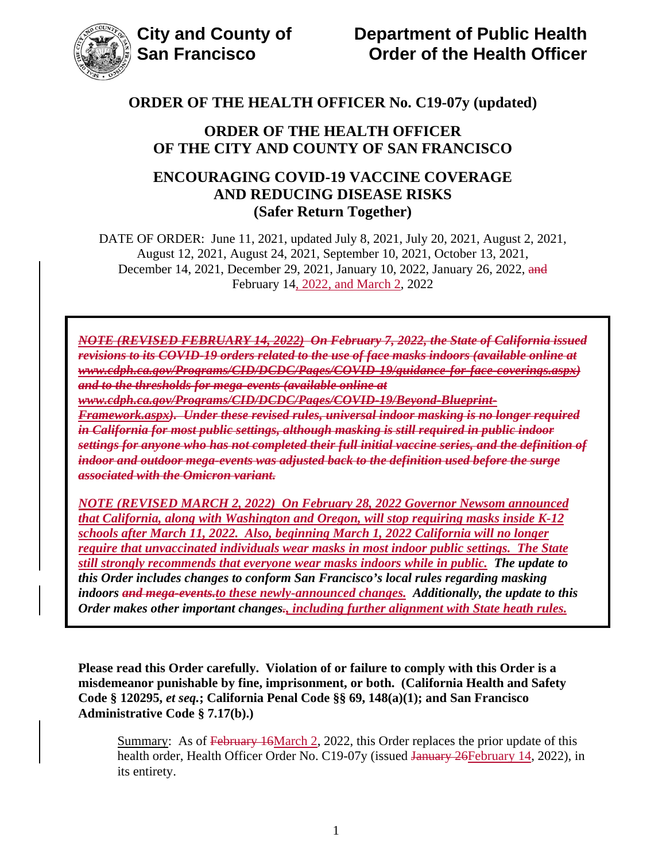

## **ORDER OF THE HEALTH OFFICER OF THE CITY AND COUNTY OF SAN FRANCISCO**

## **ENCOURAGING COVID-19 VACCINE COVERAGE AND REDUCING DISEASE RISKS (Safer Return Together)**

DATE OF ORDER: June 11, 2021, updated July 8, 2021, July 20, 2021, August 2, 2021, August 12, 2021, August 24, 2021, September 10, 2021, October 13, 2021, December 14, 2021, December 29, 2021, January 10, 2022, January 26, 2022, and February 14, 2022, and March 2, 2022

*NOTE (REVISED FEBRUARY 14, 2022) On February 7, 2022, the State of California issued revisions to its COVID-19 orders related to the use of face masks indoors (available online at www.cdph.ca.gov/Programs/CID/DCDC/Pages/COVID-19/guidance-for-face-coverings.aspx) and to the thresholds for mega-events (available online at* 

*www.cdph.ca.gov/Programs/CID/DCDC/Pages/COVID-19/Beyond-Blueprint-*

*Framework.aspx). Under these revised rules, universal indoor masking is no longer required in California for most public settings, although masking is still required in public indoor settings for anyone who has not completed their full initial vaccine series, and the definition of indoor and outdoor mega-events was adjusted back to the definition used before the surge associated with the Omicron variant.*

*NOTE (REVISED MARCH 2, 2022) On February 28, 2022 Governor Newsom announced that California, along with Washington and Oregon, will stop requiring masks inside K-12 schools after March 11, 2022. Also, beginning March 1, 2022 California will no longer require that unvaccinated individuals wear masks in most indoor public settings. The State still strongly recommends that everyone wear masks indoors while in public. The update to this Order includes changes to conform San Francisco's local rules regarding masking indoors and mega-events.to these newly-announced changes. Additionally, the update to this Order makes other important changes., including further alignment with State heath rules.*

**Please read this Order carefully. Violation of or failure to comply with this Order is a misdemeanor punishable by fine, imprisonment, or both. (California Health and Safety Code § 120295,** *et seq.***; California Penal Code §§ 69, 148(a)(1); and San Francisco Administrative Code § 7.17(b).)** 

Summary: As of February 16March 2, 2022, this Order replaces the prior update of this health order, Health Officer Order No. C19-07y (issued January 26 February 14, 2022), in its entirety.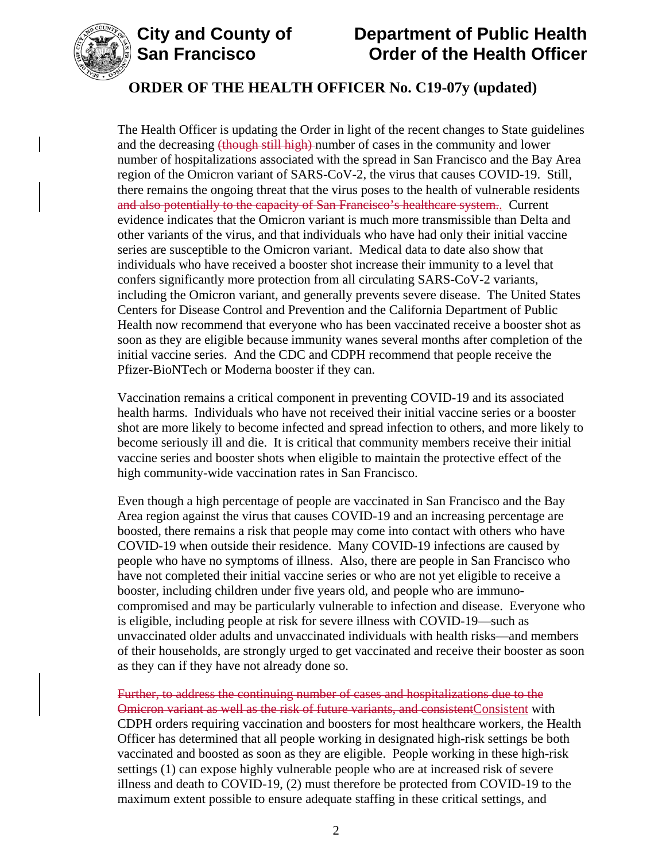



The Health Officer is updating the Order in light of the recent changes to State guidelines and the decreasing (though still high) number of cases in the community and lower number of hospitalizations associated with the spread in San Francisco and the Bay Area region of the Omicron variant of SARS-CoV-2, the virus that causes COVID-19. Still, there remains the ongoing threat that the virus poses to the health of vulnerable residents and also potentially to the capacity of San Francisco's healthcare system.. Current evidence indicates that the Omicron variant is much more transmissible than Delta and other variants of the virus, and that individuals who have had only their initial vaccine series are susceptible to the Omicron variant. Medical data to date also show that individuals who have received a booster shot increase their immunity to a level that confers significantly more protection from all circulating SARS-CoV-2 variants, including the Omicron variant, and generally prevents severe disease. The United States Centers for Disease Control and Prevention and the California Department of Public Health now recommend that everyone who has been vaccinated receive a booster shot as soon as they are eligible because immunity wanes several months after completion of the initial vaccine series. And the CDC and CDPH recommend that people receive the Pfizer-BioNTech or Moderna booster if they can.

Vaccination remains a critical component in preventing COVID-19 and its associated health harms. Individuals who have not received their initial vaccine series or a booster shot are more likely to become infected and spread infection to others, and more likely to become seriously ill and die. It is critical that community members receive their initial vaccine series and booster shots when eligible to maintain the protective effect of the high community-wide vaccination rates in San Francisco.

Even though a high percentage of people are vaccinated in San Francisco and the Bay Area region against the virus that causes COVID-19 and an increasing percentage are boosted, there remains a risk that people may come into contact with others who have COVID-19 when outside their residence. Many COVID-19 infections are caused by people who have no symptoms of illness. Also, there are people in San Francisco who have not completed their initial vaccine series or who are not yet eligible to receive a booster, including children under five years old, and people who are immunocompromised and may be particularly vulnerable to infection and disease. Everyone who is eligible, including people at risk for severe illness with COVID-19—such as unvaccinated older adults and unvaccinated individuals with health risks—and members of their households, are strongly urged to get vaccinated and receive their booster as soon as they can if they have not already done so.

Further, to address the continuing number of cases and hospitalizations due to the Omicron variant as well as the risk of future variants, and consistentConsistent with CDPH orders requiring vaccination and boosters for most healthcare workers, the Health Officer has determined that all people working in designated high-risk settings be both vaccinated and boosted as soon as they are eligible. People working in these high-risk settings (1) can expose highly vulnerable people who are at increased risk of severe illness and death to COVID-19, (2) must therefore be protected from COVID-19 to the maximum extent possible to ensure adequate staffing in these critical settings, and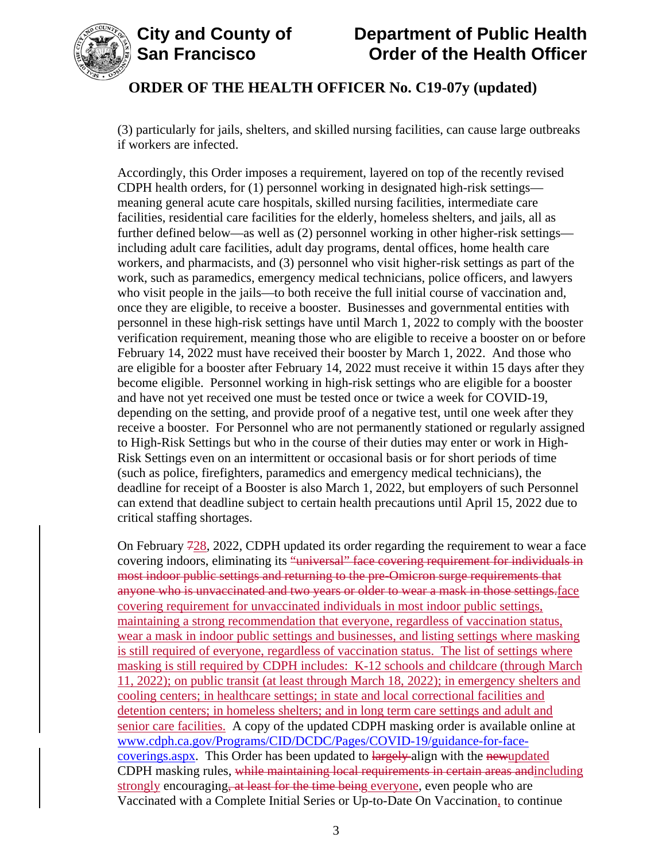

(3) particularly for jails, shelters, and skilled nursing facilities, can cause large outbreaks if workers are infected.

Accordingly, this Order imposes a requirement, layered on top of the recently revised CDPH health orders, for (1) personnel working in designated high-risk settings meaning general acute care hospitals, skilled nursing facilities, intermediate care facilities, residential care facilities for the elderly, homeless shelters, and jails, all as further defined below—as well as (2) personnel working in other higher-risk settings including adult care facilities, adult day programs, dental offices, home health care workers, and pharmacists, and (3) personnel who visit higher-risk settings as part of the work, such as paramedics, emergency medical technicians, police officers, and lawyers who visit people in the jails—to both receive the full initial course of vaccination and, once they are eligible, to receive a booster. Businesses and governmental entities with personnel in these high-risk settings have until March 1, 2022 to comply with the booster verification requirement, meaning those who are eligible to receive a booster on or before February 14, 2022 must have received their booster by March 1, 2022. And those who are eligible for a booster after February 14, 2022 must receive it within 15 days after they become eligible. Personnel working in high-risk settings who are eligible for a booster and have not yet received one must be tested once or twice a week for COVID-19, depending on the setting, and provide proof of a negative test, until one week after they receive a booster. For Personnel who are not permanently stationed or regularly assigned to High-Risk Settings but who in the course of their duties may enter or work in High-Risk Settings even on an intermittent or occasional basis or for short periods of time (such as police, firefighters, paramedics and emergency medical technicians), the deadline for receipt of a Booster is also March 1, 2022, but employers of such Personnel can extend that deadline subject to certain health precautions until April 15, 2022 due to critical staffing shortages.

On February  $728$ , 2022, CDPH updated its order regarding the requirement to wear a face covering indoors, eliminating its "universal" face covering requirement for individuals in most indoor public settings and returning to the pre-Omicron surge requirements that anyone who is unvaccinated and two years or older to wear a mask in those settings. face covering requirement for unvaccinated individuals in most indoor public settings, maintaining a strong recommendation that everyone, regardless of vaccination status, wear a mask in indoor public settings and businesses, and listing settings where masking is still required of everyone, regardless of vaccination status. The list of settings where masking is still required by CDPH includes: K-12 schools and childcare (through March 11, 2022); on public transit (at least through March 18, 2022); in emergency shelters and cooling centers; in healthcare settings; in state and local correctional facilities and detention centers; in homeless shelters; and in long term care settings and adult and senior care facilities. A copy of the updated CDPH masking order is available online at [www.cdph.ca.gov/Programs/CID/DCDC/Pages/COVID-19/guidance-for-face](https://www.cdph.ca.gov/Programs/CID/DCDC/Pages/COVID-19/guidance-for-face-coverings.aspx)[coverings.aspx.](https://www.cdph.ca.gov/Programs/CID/DCDC/Pages/COVID-19/guidance-for-face-coverings.aspx) This Order has been updated to largely align with the newupdated CDPH masking rules, while maintaining local requirements in certain areas andincluding strongly encouraging, at least for the time being everyone, even people who are Vaccinated with a Complete Initial Series or Up-to-Date On Vaccination, to continue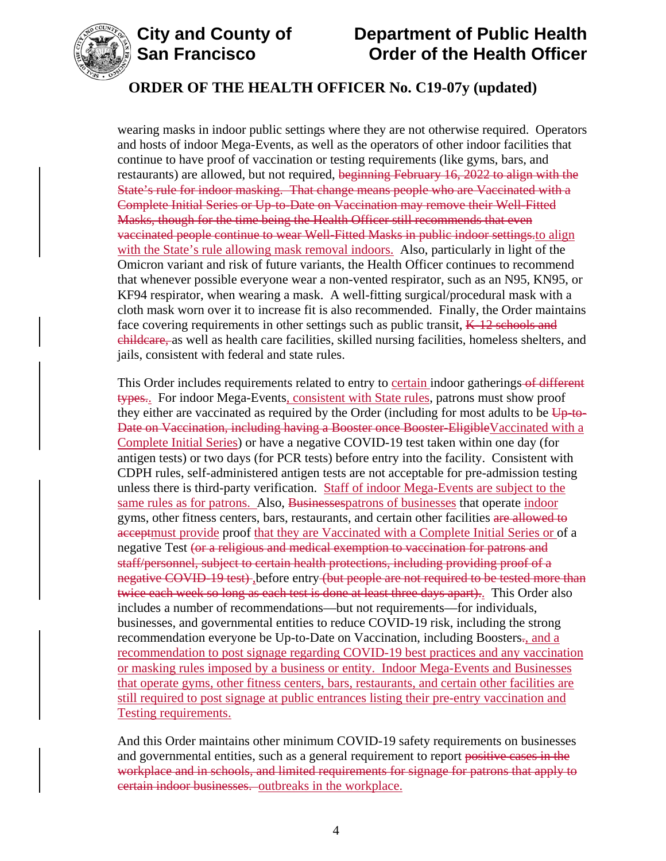



wearing masks in indoor public settings where they are not otherwise required. Operators and hosts of indoor Mega-Events, as well as the operators of other indoor facilities that continue to have proof of vaccination or testing requirements (like gyms, bars, and restaurants) are allowed, but not required, beginning February 16, 2022 to align with the State's rule for indoor masking. That change means people who are Vaccinated with a Complete Initial Series or Up-to-Date on Vaccination may remove their Well-Fitted Masks, though for the time being the Health Officer still recommends that even vaccinated people continue to wear Well-Fitted Masks in public indoor settings.to align with the State's rule allowing mask removal indoors. Also, particularly in light of the Omicron variant and risk of future variants, the Health Officer continues to recommend that whenever possible everyone wear a non-vented respirator, such as an N95, KN95, or KF94 respirator, when wearing a mask. A well-fitting surgical/procedural mask with a cloth mask worn over it to increase fit is also recommended. Finally, the Order maintains face covering requirements in other settings such as public transit,  $K-12$  schools and childcare, as well as health care facilities, skilled nursing facilities, homeless shelters, and jails, consistent with federal and state rules.

This Order includes requirements related to entry to certain indoor gatherings of different types.. For indoor Mega-Events, consistent with State rules, patrons must show proof they either are vaccinated as required by the Order (including for most adults to be  $\overline{Up}$  to-Date on Vaccination, including having a Booster once Booster-EligibleVaccinated with a Complete Initial Series) or have a negative COVID-19 test taken within one day (for antigen tests) or two days (for PCR tests) before entry into the facility. Consistent with CDPH rules, self-administered antigen tests are not acceptable for pre-admission testing unless there is third-party verification. Staff of indoor Mega-Events are subject to the same rules as for patrons. Also, Businesses patrons of businesses that operate indoor gyms, other fitness centers, bars, restaurants, and certain other facilities are allowed to acceptmust provide proof that they are Vaccinated with a Complete Initial Series or of a negative Test (or a religious and medical exemption to vaccination for patrons and staff/personnel, subject to certain health protections, including providing proof of a negative COVID-19 test), before entry (but people are not required to be tested more than twice each week so long as each test is done at least three days apart).. This Order also includes a number of recommendations—but not requirements—for individuals, businesses, and governmental entities to reduce COVID-19 risk, including the strong recommendation everyone be Up-to-Date on Vaccination, including Boosters., and a recommendation to post signage regarding COVID-19 best practices and any vaccination or masking rules imposed by a business or entity. Indoor Mega-Events and Businesses that operate gyms, other fitness centers, bars, restaurants, and certain other facilities are still required to post signage at public entrances listing their pre-entry vaccination and Testing requirements.

And this Order maintains other minimum COVID-19 safety requirements on businesses and governmental entities, such as a general requirement to report positive cases in the workplace and in schools, and limited requirements for signage for patrons that apply to certain indoor businesses. outbreaks in the workplace.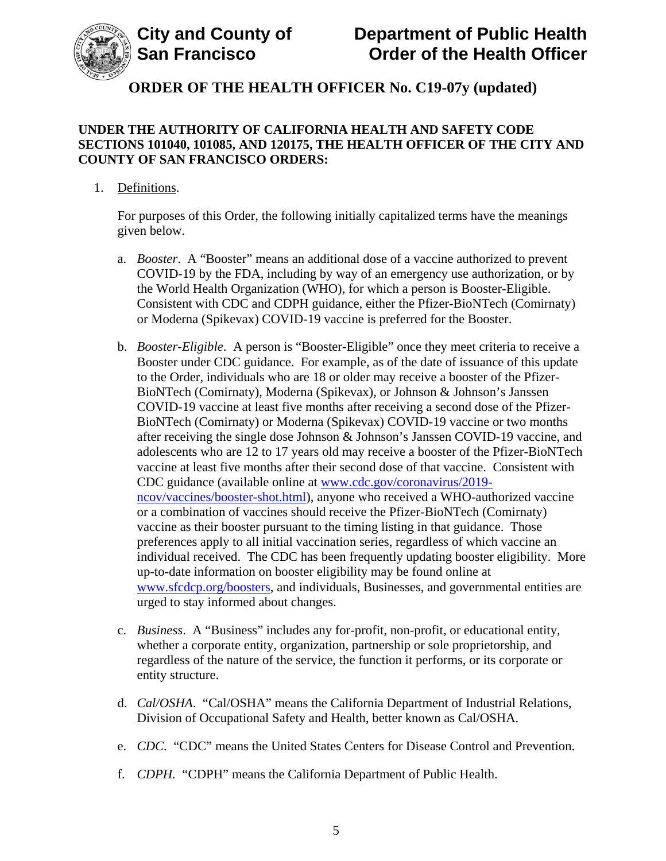

## **UNDER THE AUTHORITY OF CALIFORNIA HEALTH AND SAFETY CODE SECTIONS 101040, 101085, AND 120175, THE HEALTH OFFICER OF THE CITY AND COUNTY OF SAN FRANCISCO ORDERS:**

1. Definitions.

For purposes of this Order, the following initially capitalized terms have the meanings given below.

- a. *Booster*. A "Booster" means an additional dose of a vaccine authorized to prevent COVID-19 by the FDA, including by way of an emergency use authorization, or by the World Health Organization (WHO), for which a person is Booster-Eligible. Consistent with CDC and CDPH guidance, either the Pfizer-BioNTech (Comirnaty) or Moderna (Spikevax) COVID-19 vaccine is preferred for the Booster.
- b. *Booster-Eligible*. A person is "Booster-Eligible" once they meet criteria to receive a Booster under CDC guidance. For example, as of the date of issuance of this update to the Order, individuals who are 18 or older may receive a booster of the Pfizer-BioNTech (Comirnaty), Moderna (Spikevax), or Johnson & Johnson's Janssen COVID-19 vaccine at least five months after receiving a second dose of the Pfizer-BioNTech (Comirnaty) or Moderna (Spikevax) COVID-19 vaccine or two months after receiving the single dose Johnson & Johnson's Janssen COVID-19 vaccine, and adolescents who are 12 to 17 years old may receive a booster of the Pfizer-BioNTech vaccine at least five months after their second dose of that vaccine. Consistent with CDC guidance (available online at [www.cdc.gov/coronavirus/2019](https://www.cdc.gov/coronavirus/2019-ncov/vaccines/booster-shot.html) [ncov/vaccines/booster-shot.html\)](https://www.cdc.gov/coronavirus/2019-ncov/vaccines/booster-shot.html), anyone who received a WHO-authorized vaccine or a combination of vaccines should receive the Pfizer-BioNTech (Comirnaty) vaccine as their booster pursuant to the timing listing in that guidance. Those preferences apply to all initial vaccination series, regardless of which vaccine an individual received. The CDC has been frequently updating booster eligibility. More up-to-date information on booster eligibility may be found online at [www.sfcdcp.org/boosters,](https://www.sfcdcp.org/boosters) and individuals, Businesses, and governmental entities are urged to stay informed about changes.
- c. *Business*. A "Business" includes any for-profit, non-profit, or educational entity, whether a corporate entity, organization, partnership or sole proprietorship, and regardless of the nature of the service, the function it performs, or its corporate or entity structure.
- d. *Cal/OSHA*. "Cal/OSHA" means the California Department of Industrial Relations, Division of Occupational Safety and Health, better known as Cal/OSHA.
- e. *CDC*. "CDC" means the United States Centers for Disease Control and Prevention.
- f. *CDPH.* "CDPH" means the California Department of Public Health.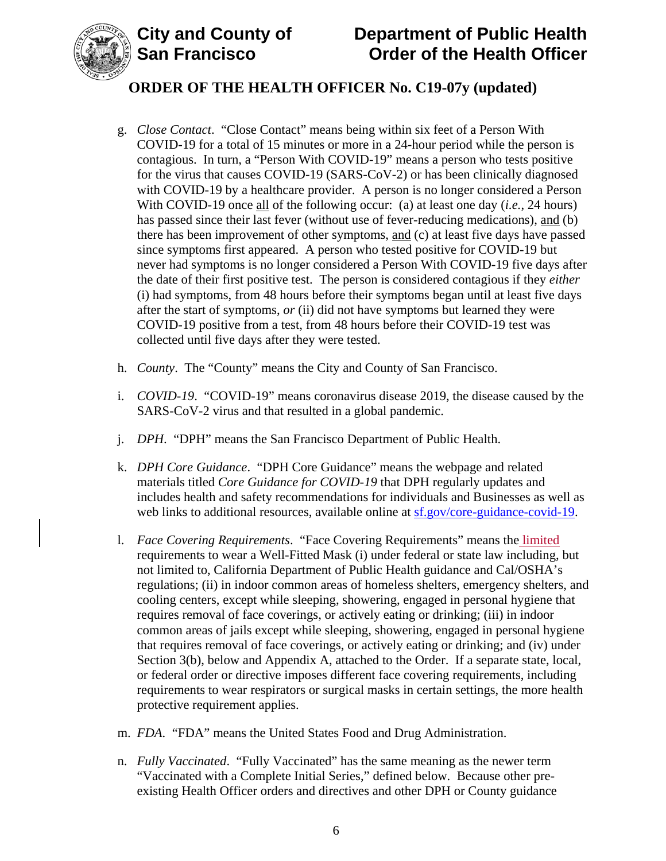

- g. *Close Contact*. "Close Contact" means being within six feet of a Person With COVID-19 for a total of 15 minutes or more in a 24-hour period while the person is contagious. In turn, a "Person With COVID-19" means a person who tests positive for the virus that causes COVID-19 (SARS-CoV-2) or has been clinically diagnosed with COVID-19 by a healthcare provider. A person is no longer considered a Person With COVID-19 once all of the following occur: (a) at least one day (*i.e.*, 24 hours) has passed since their last fever (without use of fever-reducing medications), and (b) there has been improvement of other symptoms, and (c) at least five days have passed since symptoms first appeared. A person who tested positive for COVID-19 but never had symptoms is no longer considered a Person With COVID-19 five days after the date of their first positive test. The person is considered contagious if they *either* (i) had symptoms, from 48 hours before their symptoms began until at least five days after the start of symptoms, *or* (ii) did not have symptoms but learned they were COVID-19 positive from a test, from 48 hours before their COVID-19 test was collected until five days after they were tested.
- h. *County*. The "County" means the City and County of San Francisco.
- i. *COVID-19*. "COVID-19" means coronavirus disease 2019, the disease caused by the SARS-CoV-2 virus and that resulted in a global pandemic.
- j. *DPH*. "DPH" means the San Francisco Department of Public Health.
- k. *DPH Core Guidance*. "DPH Core Guidance" means the webpage and related materials titled *Core Guidance for COVID-19* that DPH regularly updates and includes health and safety recommendations for individuals and Businesses as well as web links to additional resources, available online at [sf.gov/core-guidance-covid-19.](https://sf.gov/core-guidance-covid-19)
- l. *Face Covering Requirements*. "Face Covering Requirements" means the limited requirements to wear a Well-Fitted Mask (i) under federal or state law including, but not limited to, California Department of Public Health guidance and Cal/OSHA's regulations; (ii) in indoor common areas of homeless shelters, emergency shelters, and cooling centers, except while sleeping, showering, engaged in personal hygiene that requires removal of face coverings, or actively eating or drinking; (iii) in indoor common areas of jails except while sleeping, showering, engaged in personal hygiene that requires removal of face coverings, or actively eating or drinking; and (iv) under Section 3(b), below and Appendix A, attached to the Order. If a separate state, local, or federal order or directive imposes different face covering requirements, including requirements to wear respirators or surgical masks in certain settings, the more health protective requirement applies.
- m. *FDA*. "FDA" means the United States Food and Drug Administration.
- n. *Fully Vaccinated*. "Fully Vaccinated" has the same meaning as the newer term "Vaccinated with a Complete Initial Series," defined below. Because other preexisting Health Officer orders and directives and other DPH or County guidance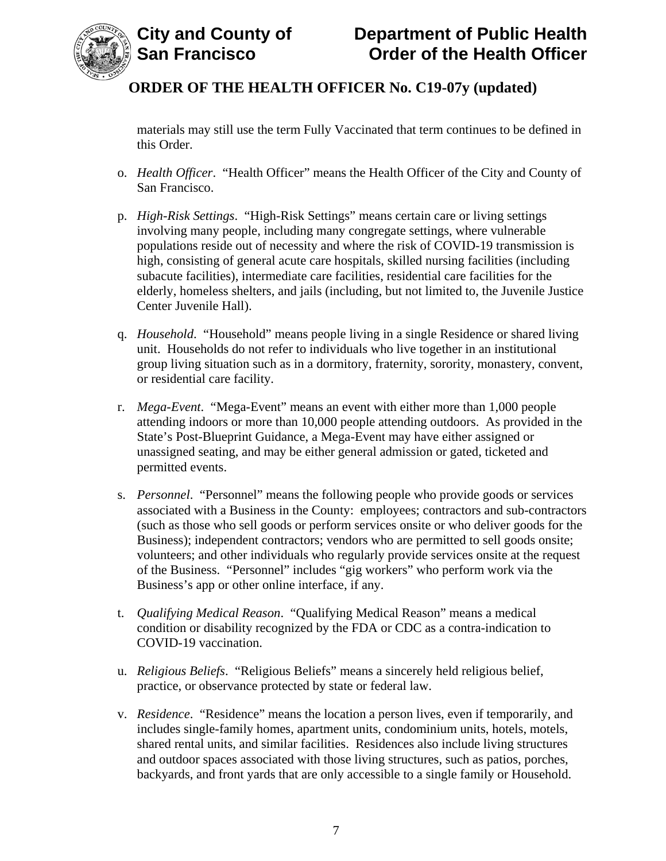

materials may still use the term Fully Vaccinated that term continues to be defined in this Order.

- o. *Health Officer*. "Health Officer" means the Health Officer of the City and County of San Francisco.
- p. *High-Risk Settings*. "High-Risk Settings" means certain care or living settings involving many people, including many congregate settings, where vulnerable populations reside out of necessity and where the risk of COVID-19 transmission is high, consisting of general acute care hospitals, skilled nursing facilities (including subacute facilities), intermediate care facilities, residential care facilities for the elderly, homeless shelters, and jails (including, but not limited to, the Juvenile Justice Center Juvenile Hall).
- q. *Household*. "Household" means people living in a single Residence or shared living unit. Households do not refer to individuals who live together in an institutional group living situation such as in a dormitory, fraternity, sorority, monastery, convent, or residential care facility.
- r. *Mega-Event*. "Mega-Event" means an event with either more than 1,000 people attending indoors or more than 10,000 people attending outdoors. As provided in the State's Post-Blueprint Guidance, a Mega-Event may have either assigned or unassigned seating, and may be either general admission or gated, ticketed and permitted events.
- s. *Personnel*."Personnel" means the following people who provide goods or services associated with a Business in the County: employees; contractors and sub-contractors (such as those who sell goods or perform services onsite or who deliver goods for the Business); independent contractors; vendors who are permitted to sell goods onsite; volunteers; and other individuals who regularly provide services onsite at the request of the Business. "Personnel" includes "gig workers" who perform work via the Business's app or other online interface, if any.
- t. *Qualifying Medical Reason*. "Qualifying Medical Reason" means a medical condition or disability recognized by the FDA or CDC as a contra-indication to COVID-19 vaccination.
- u. *Religious Beliefs*. "Religious Beliefs" means a sincerely held religious belief, practice, or observance protected by state or federal law.
- v. *Residence*. "Residence" means the location a person lives, even if temporarily, and includes single-family homes, apartment units, condominium units, hotels, motels, shared rental units, and similar facilities. Residences also include living structures and outdoor spaces associated with those living structures, such as patios, porches, backyards, and front yards that are only accessible to a single family or Household.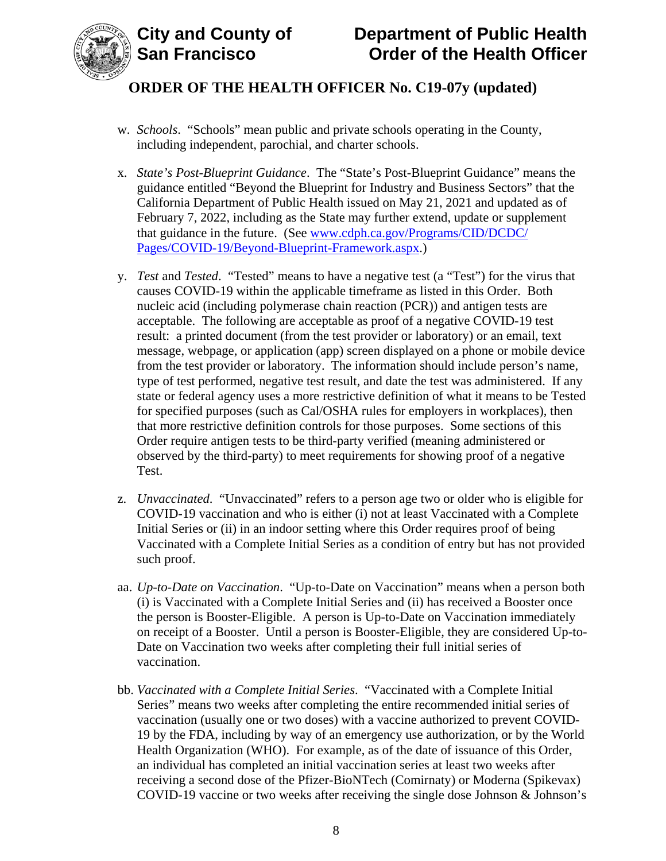



- w. *Schools*. "Schools" mean public and private schools operating in the County, including independent, parochial, and charter schools.
- x. *State's Post-Blueprint Guidance*. The "State's Post-Blueprint Guidance" means the guidance entitled "Beyond the Blueprint for Industry and Business Sectors" that the California Department of Public Health issued on May 21, 2021 and updated as of February 7, 2022, including as the State may further extend, update or supplement that guidance in the future. (See [www.cdph.ca.gov/Programs/CID/DCDC/](http://www.cdph.ca.gov/Programs/CID/DCDC/Pages/COVID-19/Beyond-Blueprint-Framework.aspx) [Pages/COVID-19/Beyond-Blueprint-Framework.aspx.](http://www.cdph.ca.gov/Programs/CID/DCDC/Pages/COVID-19/Beyond-Blueprint-Framework.aspx))
- y. *Test* and *Tested*. "Tested" means to have a negative test (a "Test") for the virus that causes COVID-19 within the applicable timeframe as listed in this Order. Both nucleic acid (including polymerase chain reaction (PCR)) and antigen tests are acceptable. The following are acceptable as proof of a negative COVID-19 test result: a printed document (from the test provider or laboratory) or an email, text message, webpage, or application (app) screen displayed on a phone or mobile device from the test provider or laboratory. The information should include person's name, type of test performed, negative test result, and date the test was administered. If any state or federal agency uses a more restrictive definition of what it means to be Tested for specified purposes (such as Cal/OSHA rules for employers in workplaces), then that more restrictive definition controls for those purposes. Some sections of this Order require antigen tests to be third-party verified (meaning administered or observed by the third-party) to meet requirements for showing proof of a negative Test.
- z. *Unvaccinated*. "Unvaccinated" refers to a person age two or older who is eligible for COVID-19 vaccination and who is either (i) not at least Vaccinated with a Complete Initial Series or (ii) in an indoor setting where this Order requires proof of being Vaccinated with a Complete Initial Series as a condition of entry but has not provided such proof.
- aa. *Up-to-Date on Vaccination*. "Up-to-Date on Vaccination" means when a person both (i) is Vaccinated with a Complete Initial Series and (ii) has received a Booster once the person is Booster-Eligible. A person is Up-to-Date on Vaccination immediately on receipt of a Booster. Until a person is Booster-Eligible, they are considered Up-to-Date on Vaccination two weeks after completing their full initial series of vaccination.
- bb. *Vaccinated with a Complete Initial Series*. "Vaccinated with a Complete Initial Series" means two weeks after completing the entire recommended initial series of vaccination (usually one or two doses) with a vaccine authorized to prevent COVID-19 by the FDA, including by way of an emergency use authorization, or by the World Health Organization (WHO). For example, as of the date of issuance of this Order, an individual has completed an initial vaccination series at least two weeks after receiving a second dose of the Pfizer-BioNTech (Comirnaty) or Moderna (Spikevax) COVID-19 vaccine or two weeks after receiving the single dose Johnson & Johnson's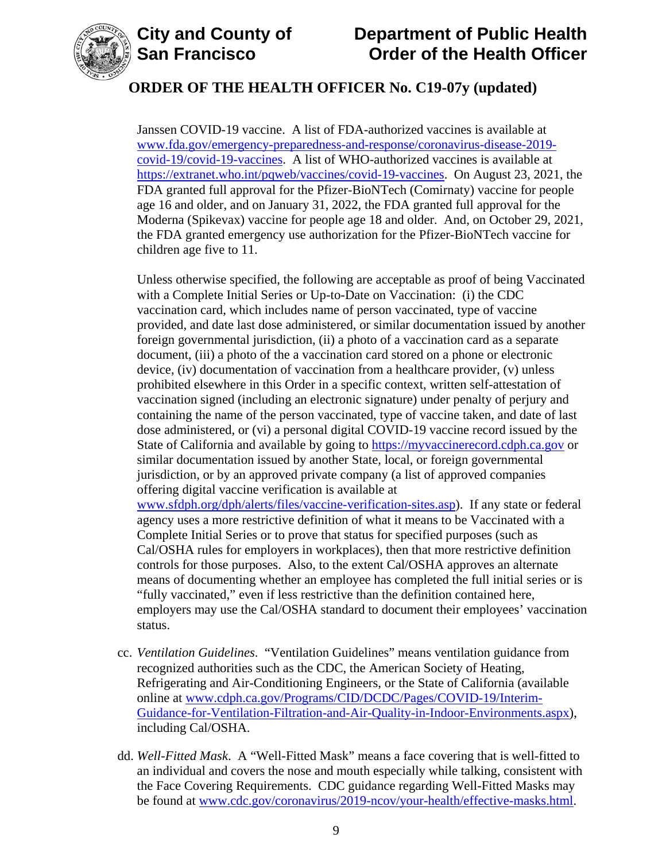



# **City and County of Department of Public Health Order of the Health Officer**

## **ORDER OF THE HEALTH OFFICER No. C19-07y (updated)**

Janssen COVID-19 vaccine. A list of FDA-authorized vaccines is available at [www.fda.gov/emergency-preparedness-and-response/coronavirus-disease-2019](https://www.fda.gov/emergency-preparedness-and-response/coronavirus-disease-2019-covid-19/covid-19-vaccines) [covid-19/covid-19-vaccines.](https://www.fda.gov/emergency-preparedness-and-response/coronavirus-disease-2019-covid-19/covid-19-vaccines) A list of WHO-authorized vaccines is available at [https://extranet.who.int/pqweb/vaccines/covid-19-vaccines.](https://extranet.who.int/pqweb/vaccines/covid-19-vaccines) On August 23, 2021, the FDA granted full approval for the Pfizer-BioNTech (Comirnaty) vaccine for people age 16 and older, and on January 31, 2022, the FDA granted full approval for the Moderna (Spikevax) vaccine for people age 18 and older. And, on October 29, 2021, the FDA granted emergency use authorization for the Pfizer-BioNTech vaccine for children age five to 11.

Unless otherwise specified, the following are acceptable as proof of being Vaccinated with a Complete Initial Series or Up-to-Date on Vaccination: (i) the CDC vaccination card, which includes name of person vaccinated, type of vaccine provided, and date last dose administered, or similar documentation issued by another foreign governmental jurisdiction, (ii) a photo of a vaccination card as a separate document, (iii) a photo of the a vaccination card stored on a phone or electronic device, (iv) documentation of vaccination from a healthcare provider, (v) unless prohibited elsewhere in this Order in a specific context, written self-attestation of vaccination signed (including an electronic signature) under penalty of perjury and containing the name of the person vaccinated, type of vaccine taken, and date of last dose administered, or (vi) a personal digital COVID-19 vaccine record issued by the State of California and available by going to [https://myvaccinerecord.cdph.ca.gov](https://myvaccinerecord.cdph.ca.gov/) or similar documentation issued by another State, local, or foreign governmental jurisdiction, or by an approved private company (a list of approved companies offering digital vaccine verification is available at [www.sfdph.org/dph/alerts/files/vaccine-verification-sites.asp\)](https://www.sfdph.org/dph/alerts/files/vaccine-verification-sites.asp). If any state or federal agency uses a more restrictive definition of what it means to be Vaccinated with a Complete Initial Series or to prove that status for specified purposes (such as Cal/OSHA rules for employers in workplaces), then that more restrictive definition controls for those purposes. Also, to the extent Cal/OSHA approves an alternate means of documenting whether an employee has completed the full initial series or is "fully vaccinated," even if less restrictive than the definition contained here, employers may use the Cal/OSHA standard to document their employees' vaccination status.

- cc. *Ventilation Guidelines*. "Ventilation Guidelines" means ventilation guidance from recognized authorities such as the CDC, the American Society of Heating, Refrigerating and Air-Conditioning Engineers, or the State of California (available online at [www.cdph.ca.gov/Programs/CID/DCDC/Pages/COVID-19/Interim-](https://www.cdph.ca.gov/Programs/CID/DCDC/Pages/COVID-19/Interim-Guidance-for-Ventilation-Filtration-and-Air-Quality-in-Indoor-Environments.aspx)[Guidance-for-Ventilation-Filtration-and-Air-Quality-in-Indoor-Environments.aspx\)](https://www.cdph.ca.gov/Programs/CID/DCDC/Pages/COVID-19/Interim-Guidance-for-Ventilation-Filtration-and-Air-Quality-in-Indoor-Environments.aspx), including Cal/OSHA.
- dd. *Well-Fitted Mask*. A "Well-Fitted Mask" means a face covering that is well-fitted to an individual and covers the nose and mouth especially while talking, consistent with the Face Covering Requirements. CDC guidance regarding Well-Fitted Masks may be found at [www.cdc.gov/coronavirus/2019-ncov/your-health/effective-masks.html.](https://www.cdc.gov/coronavirus/2019-ncov/your-health/effective-masks.html)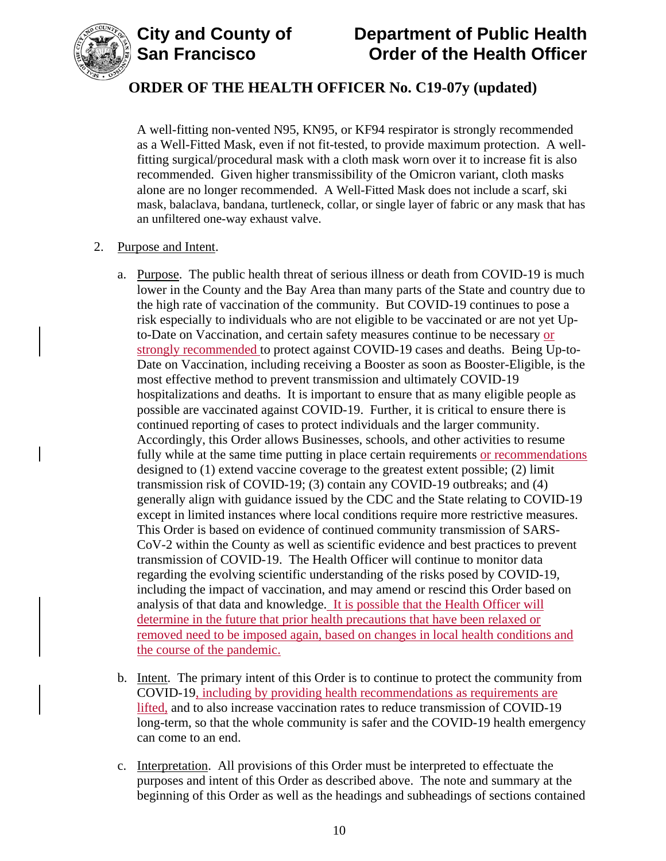

A well-fitting non-vented N95, KN95, or KF94 respirator is strongly recommended as a Well-Fitted Mask, even if not fit-tested, to provide maximum protection. A wellfitting surgical/procedural mask with a cloth mask worn over it to increase fit is also recommended. Given higher transmissibility of the Omicron variant, cloth masks alone are no longer recommended. A Well-Fitted Mask does not include a scarf, ski mask, balaclava, bandana, turtleneck, collar, or single layer of fabric or any mask that has an unfiltered one-way exhaust valve.

#### 2. Purpose and Intent.

- a. Purpose. The public health threat of serious illness or death from COVID-19 is much lower in the County and the Bay Area than many parts of the State and country due to the high rate of vaccination of the community. But COVID-19 continues to pose a risk especially to individuals who are not eligible to be vaccinated or are not yet Upto-Date on Vaccination, and certain safety measures continue to be necessary or strongly recommended to protect against COVID-19 cases and deaths. Being Up-to-Date on Vaccination, including receiving a Booster as soon as Booster-Eligible, is the most effective method to prevent transmission and ultimately COVID-19 hospitalizations and deaths. It is important to ensure that as many eligible people as possible are vaccinated against COVID-19. Further, it is critical to ensure there is continued reporting of cases to protect individuals and the larger community. Accordingly, this Order allows Businesses, schools, and other activities to resume fully while at the same time putting in place certain requirements or recommendations designed to (1) extend vaccine coverage to the greatest extent possible; (2) limit transmission risk of COVID-19; (3) contain any COVID-19 outbreaks; and (4) generally align with guidance issued by the CDC and the State relating to COVID-19 except in limited instances where local conditions require more restrictive measures. This Order is based on evidence of continued community transmission of SARS-CoV-2 within the County as well as scientific evidence and best practices to prevent transmission of COVID-19. The Health Officer will continue to monitor data regarding the evolving scientific understanding of the risks posed by COVID-19, including the impact of vaccination, and may amend or rescind this Order based on analysis of that data and knowledge. It is possible that the Health Officer will determine in the future that prior health precautions that have been relaxed or removed need to be imposed again, based on changes in local health conditions and the course of the pandemic.
- b. Intent. The primary intent of this Order is to continue to protect the community from COVID-19, including by providing health recommendations as requirements are lifted, and to also increase vaccination rates to reduce transmission of COVID-19 long-term, so that the whole community is safer and the COVID-19 health emergency can come to an end.
- c. Interpretation. All provisions of this Order must be interpreted to effectuate the purposes and intent of this Order as described above. The note and summary at the beginning of this Order as well as the headings and subheadings of sections contained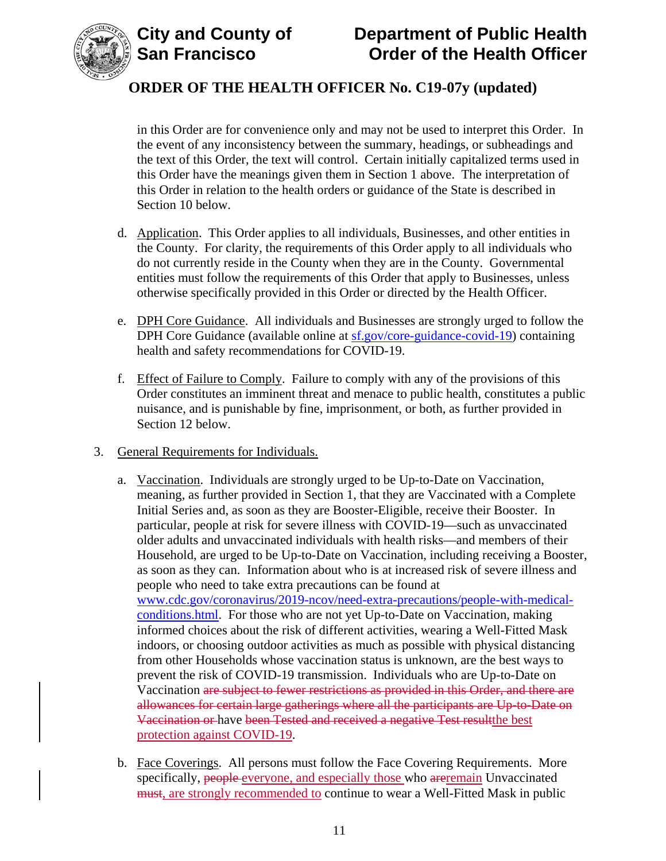



in this Order are for convenience only and may not be used to interpret this Order. In the event of any inconsistency between the summary, headings, or subheadings and the text of this Order, the text will control. Certain initially capitalized terms used in this Order have the meanings given them in Section 1 above. The interpretation of this Order in relation to the health orders or guidance of the State is described in Section 10 below.

- d. Application. This Order applies to all individuals, Businesses, and other entities in the County. For clarity, the requirements of this Order apply to all individuals who do not currently reside in the County when they are in the County. Governmental entities must follow the requirements of this Order that apply to Businesses, unless otherwise specifically provided in this Order or directed by the Health Officer.
- e. DPH Core Guidance. All individuals and Businesses are strongly urged to follow the DPH Core Guidance (available online at [sf.gov/core-guidance-covid-19\)](https://sf.gov/core-guidance-covid-19) containing health and safety recommendations for COVID-19.
- f. Effect of Failure to Comply. Failure to comply with any of the provisions of this Order constitutes an imminent threat and menace to public health, constitutes a public nuisance, and is punishable by fine, imprisonment, or both, as further provided in Section 12 below.
- 3. General Requirements for Individuals.
	- a. Vaccination. Individuals are strongly urged to be Up-to-Date on Vaccination, meaning, as further provided in Section 1, that they are Vaccinated with a Complete Initial Series and, as soon as they are Booster-Eligible, receive their Booster. In particular, people at risk for severe illness with COVID-19—such as unvaccinated older adults and unvaccinated individuals with health risks—and members of their Household, are urged to be Up-to-Date on Vaccination, including receiving a Booster, as soon as they can. Information about who is at increased risk of severe illness and people who need to take extra precautions can be found at [www.cdc.gov/coronavirus/2019-ncov/need-extra-precautions/people-with-medical](https://www.cdc.gov/coronavirus/2019-ncov/need-extra-precautions/people-with-medical-conditions.html)[conditions.html.](https://www.cdc.gov/coronavirus/2019-ncov/need-extra-precautions/people-with-medical-conditions.html) For those who are not yet Up-to-Date on Vaccination, making informed choices about the risk of different activities, wearing a Well-Fitted Mask indoors, or choosing outdoor activities as much as possible with physical distancing from other Households whose vaccination status is unknown, are the best ways to prevent the risk of COVID-19 transmission. Individuals who are Up-to-Date on Vaccination are subject to fewer restrictions as provided in this Order, and there are allowances for certain large gatherings where all the participants are Up-to-Date on Vaccination or have been Tested and received a negative Test resultthe best protection against COVID-19.
	- b. Face Coverings. All persons must follow the Face Covering Requirements. More specifically, people everyone, and especially those who are remain Unvaccinated must, are strongly recommended to continue to wear a Well-Fitted Mask in public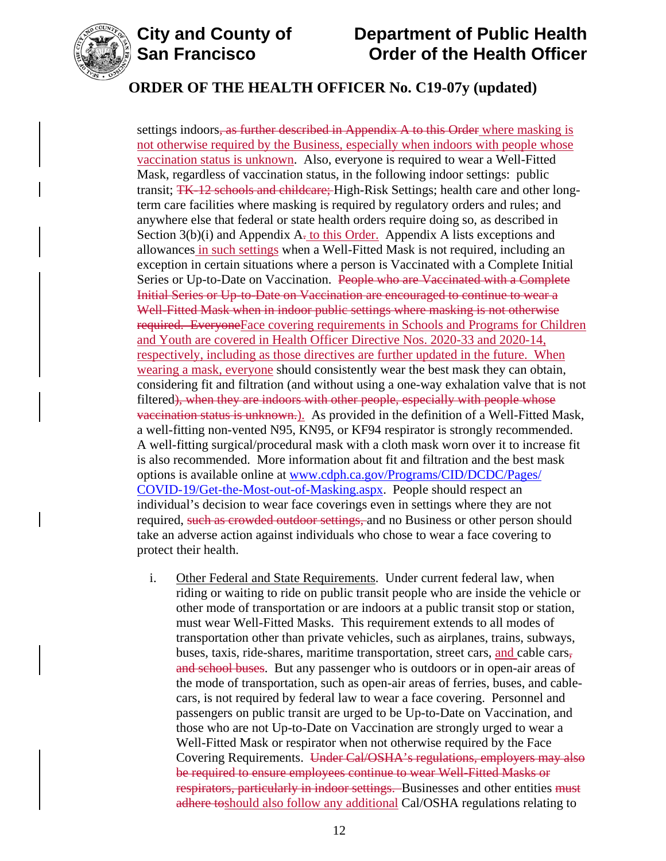

# **City and County of Department of Public Health Order of the Health Officer**

## **ORDER OF THE HEALTH OFFICER No. C19-07y (updated)**

settings indoors, as further described in Appendix A to this Order where masking is not otherwise required by the Business, especially when indoors with people whose vaccination status is unknown. Also, everyone is required to wear a Well-Fitted Mask, regardless of vaccination status, in the following indoor settings: public transit; TK-12 schools and childcare; High-Risk Settings; health care and other longterm care facilities where masking is required by regulatory orders and rules; and anywhere else that federal or state health orders require doing so, as described in Section  $3(b)(i)$  and Appendix A<sub>r</sub> to this Order. Appendix A lists exceptions and allowances in such settings when a Well-Fitted Mask is not required, including an exception in certain situations where a person is Vaccinated with a Complete Initial Series or Up-to-Date on Vaccination. People who are Vaccinated with a Complete Initial Series or Up-to-Date on Vaccination are encouraged to continue to wear a Well-Fitted Mask when in indoor public settings where masking is not otherwise required. EveryoneFace covering requirements in Schools and Programs for Children and Youth are covered in Health Officer Directive Nos. 2020-33 and 2020-14, respectively, including as those directives are further updated in the future. When wearing a mask, everyone should consistently wear the best mask they can obtain, considering fit and filtration (and without using a one-way exhalation valve that is not filtered), when they are indoors with other people, especially with people whose vaccination status is unknown.). As provided in the definition of a Well-Fitted Mask, a well-fitting non-vented N95, KN95, or KF94 respirator is strongly recommended. A well-fitting surgical/procedural mask with a cloth mask worn over it to increase fit is also recommended. More information about fit and filtration and the best mask options is available online at [www.cdph.ca.gov/Programs/CID/DCDC/Pages/](https://www.cdph.ca.gov/Programs/CID/DCDC/Pages/COVID-19/Get-the-Most-out-of-Masking.aspx) [COVID-19/Get-the-Most-out-of-Masking.aspx.](https://www.cdph.ca.gov/Programs/CID/DCDC/Pages/COVID-19/Get-the-Most-out-of-Masking.aspx) People should respect an individual's decision to wear face coverings even in settings where they are not required, such as crowded outdoor settings, and no Business or other person should take an adverse action against individuals who chose to wear a face covering to protect their health.

i. Other Federal and State Requirements. Under current federal law, when riding or waiting to ride on public transit people who are inside the vehicle or other mode of transportation or are indoors at a public transit stop or station, must wear Well-Fitted Masks. This requirement extends to all modes of transportation other than private vehicles, such as airplanes, trains, subways, buses, taxis, ride-shares, maritime transportation, street cars, and cable cars, and school buses. But any passenger who is outdoors or in open-air areas of the mode of transportation, such as open-air areas of ferries, buses, and cablecars, is not required by federal law to wear a face covering. Personnel and passengers on public transit are urged to be Up-to-Date on Vaccination, and those who are not Up-to-Date on Vaccination are strongly urged to wear a Well-Fitted Mask or respirator when not otherwise required by the Face Covering Requirements. Under Cal/OSHA's regulations, employers may also be required to ensure employees continue to wear Well-Fitted Masks or respirators, particularly in indoor settings. Businesses and other entities must adhere toshould also follow any additional Cal/OSHA regulations relating to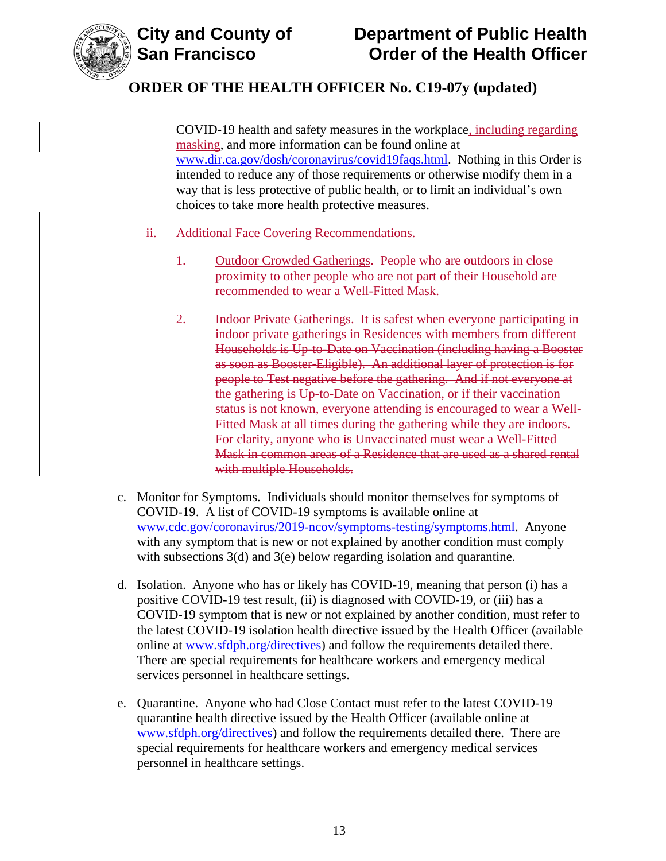

COVID-19 health and safety measures in the workplace, including regarding masking, and more information can be found online at [www.dir.ca.gov/dosh/coronavirus/covid19faqs.html.](https://www.dir.ca.gov/dosh/coronavirus/covid19faqs.html) Nothing in this Order is intended to reduce any of those requirements or otherwise modify them in a way that is less protective of public health, or to limit an individual's own choices to take more health protective measures.

- ii. Additional Face Covering Recommendations.
	- 1. Outdoor Crowded Gatherings. People who are outdoors in close proximity to other people who are not part of their Household are recommended to wear a Well-Fitted Mask.
	- Indoor Private Gatherings. It is safest when everyone participating in indoor private gatherings in Residences with members from different Households is Up-to-Date on Vaccination (including having a Booster as soon as Booster-Eligible). An additional layer of protection is for people to Test negative before the gathering. And if not everyone at the gathering is Up-to-Date on Vaccination, or if their vaccination status is not known, everyone attending is encouraged to wear a Well-Fitted Mask at all times during the gathering while they are indoors. For clarity, anyone who is Unvaccinated must wear a Well-Fitted Mask in common areas of a Residence that are used as a shared rental with multiple Households.
- c. Monitor for Symptoms. Individuals should monitor themselves for symptoms of COVID-19. A list of COVID-19 symptoms is available online at [www.cdc.gov/coronavirus/2019-ncov/symptoms-testing/symptoms.html.](https://www.cdc.gov/coronavirus/2019-ncov/symptoms-testing/symptoms.html) Anyone with any symptom that is new or not explained by another condition must comply with subsections 3(d) and 3(e) below regarding isolation and quarantine.
- d. Isolation. Anyone who has or likely has COVID-19, meaning that person (i) has a positive COVID-19 test result, (ii) is diagnosed with COVID-19, or (iii) has a COVID-19 symptom that is new or not explained by another condition, must refer to the latest COVID-19 isolation health directive issued by the Health Officer (available online at [www.sfdph.org/directives\)](https://www.sfdph.org/directives) and follow the requirements detailed there. There are special requirements for healthcare workers and emergency medical services personnel in healthcare settings.
- e. Quarantine. Anyone who had Close Contact must refer to the latest COVID-19 quarantine health directive issued by the Health Officer (available online at [www.sfdph.org/directives\)](https://www.sfdph.org/directives) and follow the requirements detailed there. There are special requirements for healthcare workers and emergency medical services personnel in healthcare settings.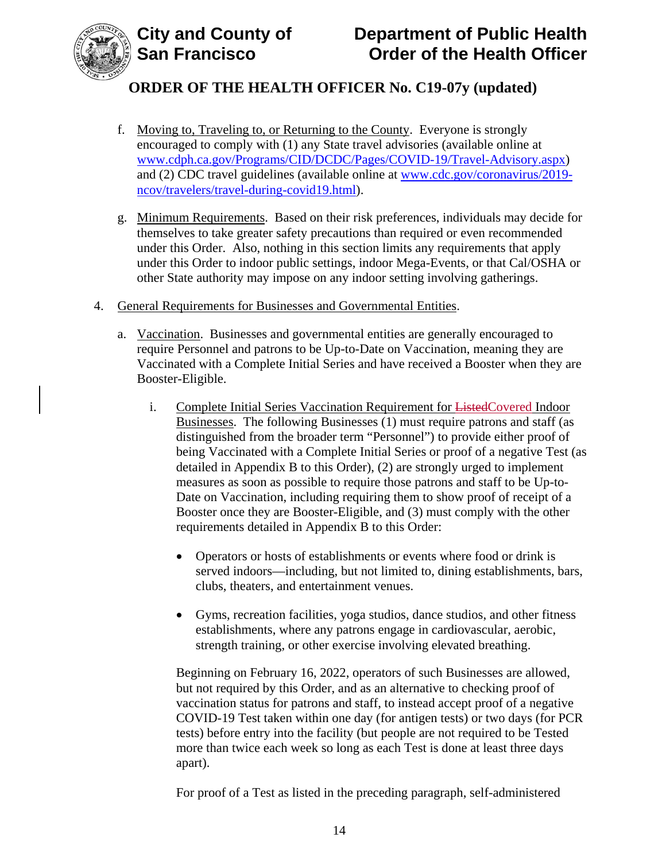

- f. Moving to, Traveling to, or Returning to the County. Everyone is strongly encouraged to comply with (1) any State travel advisories (available online at [www.cdph.ca.gov/Programs/CID/DCDC/Pages/COVID-19/Travel-Advisory.aspx\)](https://www.cdph.ca.gov/Programs/CID/DCDC/Pages/COVID-19/Travel-Advisory.aspx) and (2) CDC travel guidelines (available online at [www.cdc.gov/coronavirus/2019](https://www.cdc.gov/coronavirus/2019-ncov/travelers/travel-during-covid19.html) [ncov/travelers/travel-during-covid19.html\)](https://www.cdc.gov/coronavirus/2019-ncov/travelers/travel-during-covid19.html).
- g. Minimum Requirements. Based on their risk preferences, individuals may decide for themselves to take greater safety precautions than required or even recommended under this Order. Also, nothing in this section limits any requirements that apply under this Order to indoor public settings, indoor Mega-Events, or that Cal/OSHA or other State authority may impose on any indoor setting involving gatherings.
- 4. General Requirements for Businesses and Governmental Entities.
	- a. Vaccination. Businesses and governmental entities are generally encouraged to require Personnel and patrons to be Up-to-Date on Vaccination, meaning they are Vaccinated with a Complete Initial Series and have received a Booster when they are Booster-Eligible.
		- i. Complete Initial Series Vaccination Requirement for ListedCovered Indoor Businesses. The following Businesses (1) must require patrons and staff (as distinguished from the broader term "Personnel") to provide either proof of being Vaccinated with a Complete Initial Series or proof of a negative Test (as detailed in Appendix B to this Order), (2) are strongly urged to implement measures as soon as possible to require those patrons and staff to be Up-to-Date on Vaccination, including requiring them to show proof of receipt of a Booster once they are Booster-Eligible, and (3) must comply with the other requirements detailed in Appendix B to this Order:
			- Operators or hosts of establishments or events where food or drink is served indoors—including, but not limited to, dining establishments, bars, clubs, theaters, and entertainment venues.
			- Gyms, recreation facilities, yoga studios, dance studios, and other fitness establishments, where any patrons engage in cardiovascular, aerobic, strength training, or other exercise involving elevated breathing.

Beginning on February 16, 2022, operators of such Businesses are allowed, but not required by this Order, and as an alternative to checking proof of vaccination status for patrons and staff, to instead accept proof of a negative COVID-19 Test taken within one day (for antigen tests) or two days (for PCR tests) before entry into the facility (but people are not required to be Tested more than twice each week so long as each Test is done at least three days apart).

For proof of a Test as listed in the preceding paragraph, self-administered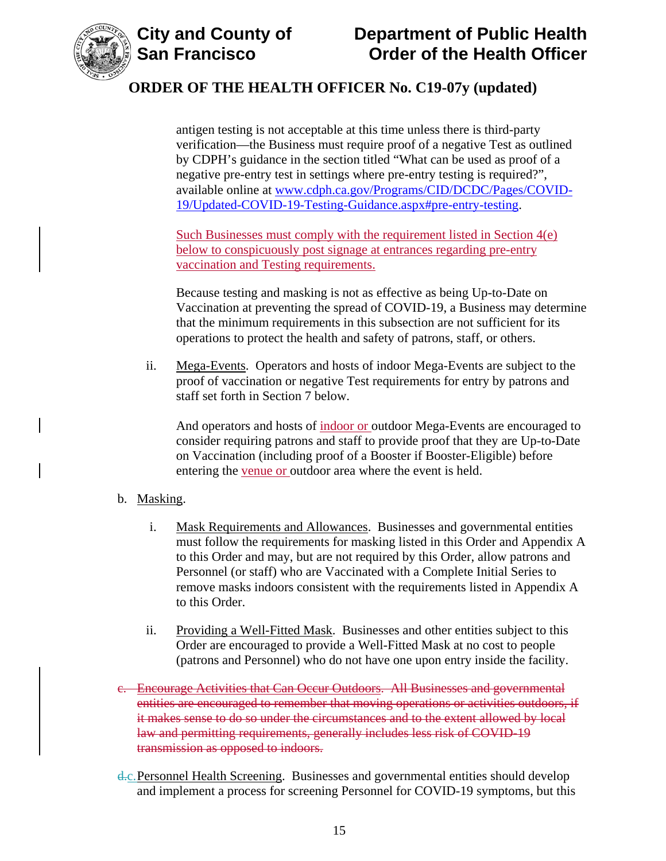



antigen testing is not acceptable at this time unless there is third-party verification—the Business must require proof of a negative Test as outlined by CDPH's guidance in the section titled "What can be used as proof of a negative pre-entry test in settings where pre-entry testing is required?", available online at [www.cdph.ca.gov/Programs/CID/DCDC/Pages/COVID-](https://www.cdph.ca.gov/Programs/CID/DCDC/Pages/COVID-19/Updated-COVID-19-Testing-Guidance.aspx#pre-entry-testing)[19/Updated-COVID-19-Testing-Guidance.aspx#pre-entry-testing.](https://www.cdph.ca.gov/Programs/CID/DCDC/Pages/COVID-19/Updated-COVID-19-Testing-Guidance.aspx#pre-entry-testing)

Such Businesses must comply with the requirement listed in Section 4(e) below to conspicuously post signage at entrances regarding pre-entry vaccination and Testing requirements.

Because testing and masking is not as effective as being Up-to-Date on Vaccination at preventing the spread of COVID-19, a Business may determine that the minimum requirements in this subsection are not sufficient for its operations to protect the health and safety of patrons, staff, or others.

ii. Mega-Events. Operators and hosts of indoor Mega-Events are subject to the proof of vaccination or negative Test requirements for entry by patrons and staff set forth in Section 7 below.

And operators and hosts of indoor or outdoor Mega-Events are encouraged to consider requiring patrons and staff to provide proof that they are Up-to-Date on Vaccination (including proof of a Booster if Booster-Eligible) before entering the venue or outdoor area where the event is held.

- b. Masking.
	- i. Mask Requirements and Allowances. Businesses and governmental entities must follow the requirements for masking listed in this Order and Appendix A to this Order and may, but are not required by this Order, allow patrons and Personnel (or staff) who are Vaccinated with a Complete Initial Series to remove masks indoors consistent with the requirements listed in Appendix A to this Order.
	- ii. Providing a Well-Fitted Mask. Businesses and other entities subject to this Order are encouraged to provide a Well-Fitted Mask at no cost to people (patrons and Personnel) who do not have one upon entry inside the facility.
- c. Encourage Activities that Can Occur Outdoors. All Businesses and governmental entities are encouraged to remember that moving operations or activities outdoors, if it makes sense to do so under the circumstances and to the extent allowed by local law and permitting requirements, generally includes less risk of COVID-19 transmission as opposed to indoors.
- d.c.Personnel Health Screening. Businesses and governmental entities should develop and implement a process for screening Personnel for COVID-19 symptoms, but this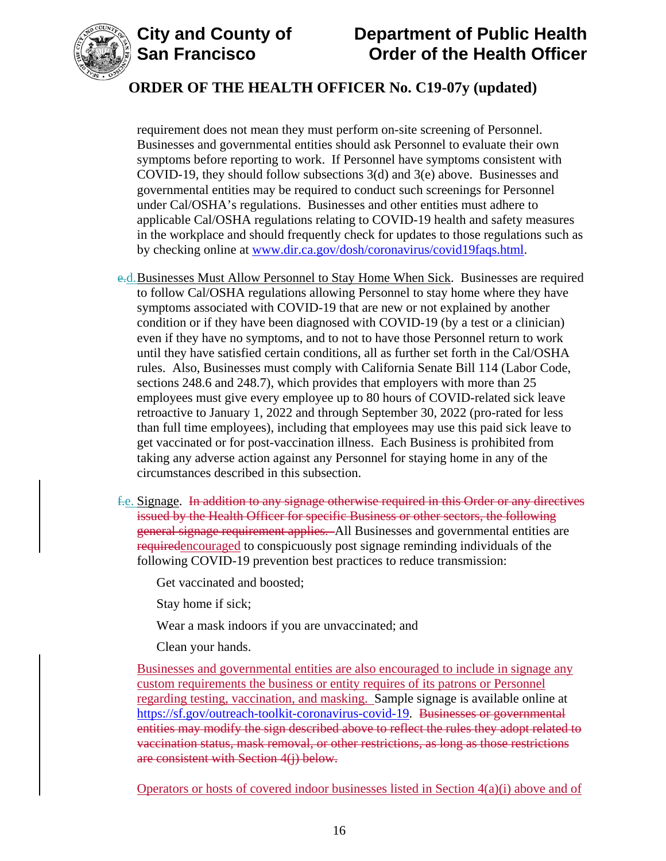



# **City and County of Department of Public Health Order of the Health Officer**

## **ORDER OF THE HEALTH OFFICER No. C19-07y (updated)**

requirement does not mean they must perform on-site screening of Personnel. Businesses and governmental entities should ask Personnel to evaluate their own symptoms before reporting to work. If Personnel have symptoms consistent with COVID-19, they should follow subsections 3(d) and 3(e) above. Businesses and governmental entities may be required to conduct such screenings for Personnel under Cal/OSHA's regulations. Businesses and other entities must adhere to applicable Cal/OSHA regulations relating to COVID-19 health and safety measures in the workplace and should frequently check for updates to those regulations such as by checking online at [www.dir.ca.gov/dosh/coronavirus/covid19faqs.html.](https://www.dir.ca.gov/dosh/coronavirus/covid19faqs.html)

- e.d.Businesses Must Allow Personnel to Stay Home When Sick. Businesses are required to follow Cal/OSHA regulations allowing Personnel to stay home where they have symptoms associated with COVID-19 that are new or not explained by another condition or if they have been diagnosed with COVID-19 (by a test or a clinician) even if they have no symptoms, and to not to have those Personnel return to work until they have satisfied certain conditions, all as further set forth in the Cal/OSHA rules. Also, Businesses must comply with California Senate Bill 114 (Labor Code, sections 248.6 and 248.7), which provides that employers with more than 25 employees must give every employee up to 80 hours of COVID-related sick leave retroactive to January 1, 2022 and through September 30, 2022 (pro-rated for less than full time employees), including that employees may use this paid sick leave to get vaccinated or for post-vaccination illness. Each Business is prohibited from taking any adverse action against any Personnel for staying home in any of the circumstances described in this subsection.
- f.e. Signage. In addition to any signage otherwise required in this Order or any directives issued by the Health Officer for specific Business or other sectors, the following general signage requirement applies. All Businesses and governmental entities are requiredencouraged to conspicuously post signage reminding individuals of the following COVID-19 prevention best practices to reduce transmission:

Get vaccinated and boosted;

Stay home if sick;

Wear a mask indoors if you are unvaccinated; and

Clean your hands.

Businesses and governmental entities are also encouraged to include in signage any custom requirements the business or entity requires of its patrons or Personnel regarding testing, vaccination, and masking. Sample signage is available online at [https://sf.gov/outreach-toolkit-coronavirus-covid-19.](https://sf.gov/outreach-toolkit-coronavirus-covid-19) Businesses or governmental entities may modify the sign described above to reflect the rules they adopt related to vaccination status, mask removal, or other restrictions, as long as those restrictions are consistent with Section 4(j) below.

Operators or hosts of covered indoor businesses listed in Section 4(a)(i) above and of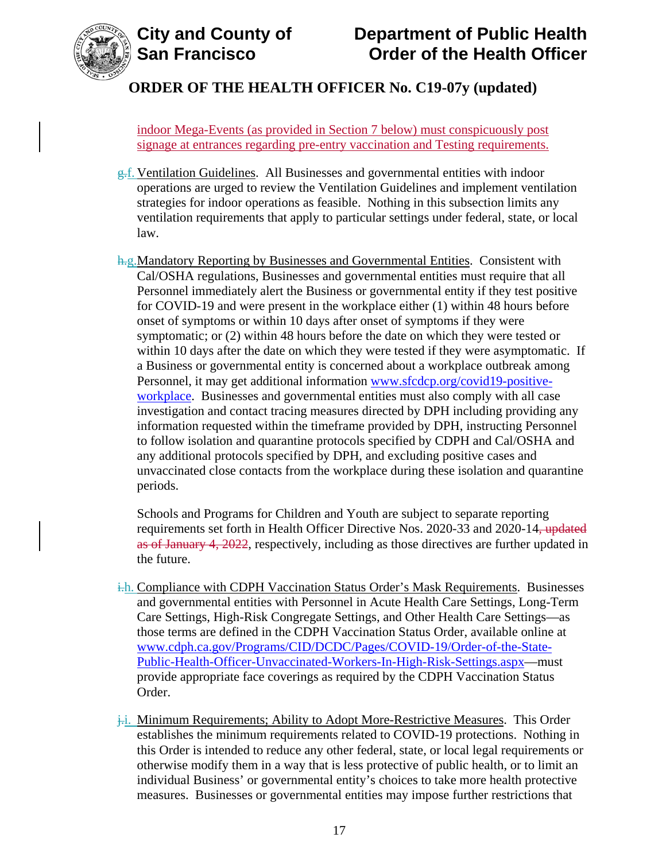

# **City and County of Department of Public Health Order of the Health Officer**

## **ORDER OF THE HEALTH OFFICER No. C19-07y (updated)**

indoor Mega-Events (as provided in Section 7 below) must conspicuously post signage at entrances regarding pre-entry vaccination and Testing requirements.

- g.f. Ventilation Guidelines. All Businesses and governmental entities with indoor operations are urged to review the Ventilation Guidelines and implement ventilation strategies for indoor operations as feasible. Nothing in this subsection limits any ventilation requirements that apply to particular settings under federal, state, or local law.
- h.g.Mandatory Reporting by Businesses and Governmental Entities. Consistent with Cal/OSHA regulations, Businesses and governmental entities must require that all Personnel immediately alert the Business or governmental entity if they test positive for COVID-19 and were present in the workplace either (1) within 48 hours before onset of symptoms or within 10 days after onset of symptoms if they were symptomatic; or (2) within 48 hours before the date on which they were tested or within 10 days after the date on which they were tested if they were asymptomatic. If a Business or governmental entity is concerned about a workplace outbreak among Personnel, it may get additional information [www.sfcdcp.org/covid19-positive](http://www.sfcdcp.org/covid19-positive-workplace)[workplace.](http://www.sfcdcp.org/covid19-positive-workplace) Businesses and governmental entities must also comply with all case investigation and contact tracing measures directed by DPH including providing any information requested within the timeframe provided by DPH, instructing Personnel to follow isolation and quarantine protocols specified by CDPH and Cal/OSHA and any additional protocols specified by DPH, and excluding positive cases and unvaccinated close contacts from the workplace during these isolation and quarantine periods.

Schools and Programs for Children and Youth are subject to separate reporting requirements set forth in Health Officer Directive Nos. 2020-33 and 2020-14, updated as of January 4, 2022, respectively, including as those directives are further updated in the future.

- i.h. Compliance with CDPH Vaccination Status Order's Mask Requirements. Businesses and governmental entities with Personnel in Acute Health Care Settings, Long-Term Care Settings, High-Risk Congregate Settings, and Other Health Care Settings—as those terms are defined in the CDPH Vaccination Status Order, available online at [www.cdph.ca.gov/Programs/CID/DCDC/Pages/COVID-19/Order-of-the-State-](https://www.cdph.ca.gov/Programs/CID/DCDC/Pages/COVID-19/Order-of-the-State-Public-Health-Officer-Unvaccinated-Workers-In-High-Risk-Settings.aspx)[Public-Health-Officer-Unvaccinated-Workers-In-High-Risk-Settings.aspx—](https://www.cdph.ca.gov/Programs/CID/DCDC/Pages/COVID-19/Order-of-the-State-Public-Health-Officer-Unvaccinated-Workers-In-High-Risk-Settings.aspx)must provide appropriate face coverings as required by the CDPH Vaccination Status Order.
- $\frac{1}{2}$ . Minimum Requirements; Ability to Adopt More-Restrictive Measures. This Order establishes the minimum requirements related to COVID-19 protections. Nothing in this Order is intended to reduce any other federal, state, or local legal requirements or otherwise modify them in a way that is less protective of public health, or to limit an individual Business' or governmental entity's choices to take more health protective measures. Businesses or governmental entities may impose further restrictions that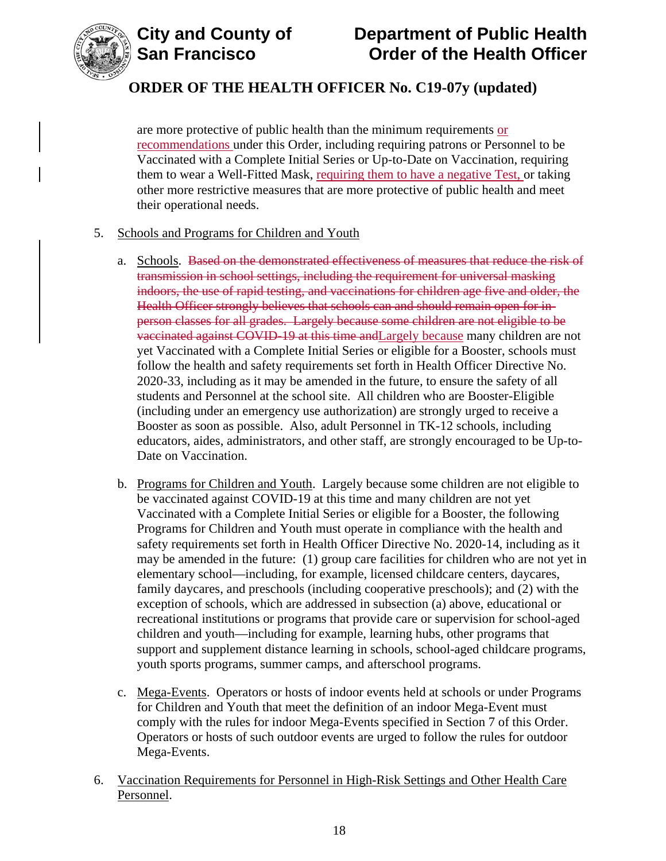

are more protective of public health than the minimum requirements or recommendations under this Order, including requiring patrons or Personnel to be Vaccinated with a Complete Initial Series or Up-to-Date on Vaccination, requiring them to wear a Well-Fitted Mask, requiring them to have a negative Test, or taking other more restrictive measures that are more protective of public health and meet their operational needs.

### 5. Schools and Programs for Children and Youth

- a. Schools. Based on the demonstrated effectiveness of measures that reduce the risk of transmission in school settings, including the requirement for universal masking indoors, the use of rapid testing, and vaccinations for children age five and older, the Health Officer strongly believes that schools can and should remain open for inperson classes for all grades. Largely because some children are not eligible to be vaccinated against COVID-19 at this time andLargely because many children are not yet Vaccinated with a Complete Initial Series or eligible for a Booster, schools must follow the health and safety requirements set forth in Health Officer Directive No. 2020-33, including as it may be amended in the future, to ensure the safety of all students and Personnel at the school site. All children who are Booster-Eligible (including under an emergency use authorization) are strongly urged to receive a Booster as soon as possible. Also, adult Personnel in TK-12 schools, including educators, aides, administrators, and other staff, are strongly encouraged to be Up-to-Date on Vaccination.
- b. Programs for Children and Youth. Largely because some children are not eligible to be vaccinated against COVID-19 at this time and many children are not yet Vaccinated with a Complete Initial Series or eligible for a Booster, the following Programs for Children and Youth must operate in compliance with the health and safety requirements set forth in Health Officer Directive No. 2020-14, including as it may be amended in the future: (1) group care facilities for children who are not yet in elementary school—including, for example, licensed childcare centers, daycares, family daycares, and preschools (including cooperative preschools); and (2) with the exception of schools, which are addressed in subsection (a) above, educational or recreational institutions or programs that provide care or supervision for school-aged children and youth—including for example, learning hubs, other programs that support and supplement distance learning in schools, school-aged childcare programs, youth sports programs, summer camps, and afterschool programs.
- c. Mega-Events. Operators or hosts of indoor events held at schools or under Programs for Children and Youth that meet the definition of an indoor Mega-Event must comply with the rules for indoor Mega-Events specified in Section 7 of this Order. Operators or hosts of such outdoor events are urged to follow the rules for outdoor Mega-Events.
- 6. Vaccination Requirements for Personnel in High-Risk Settings and Other Health Care Personnel.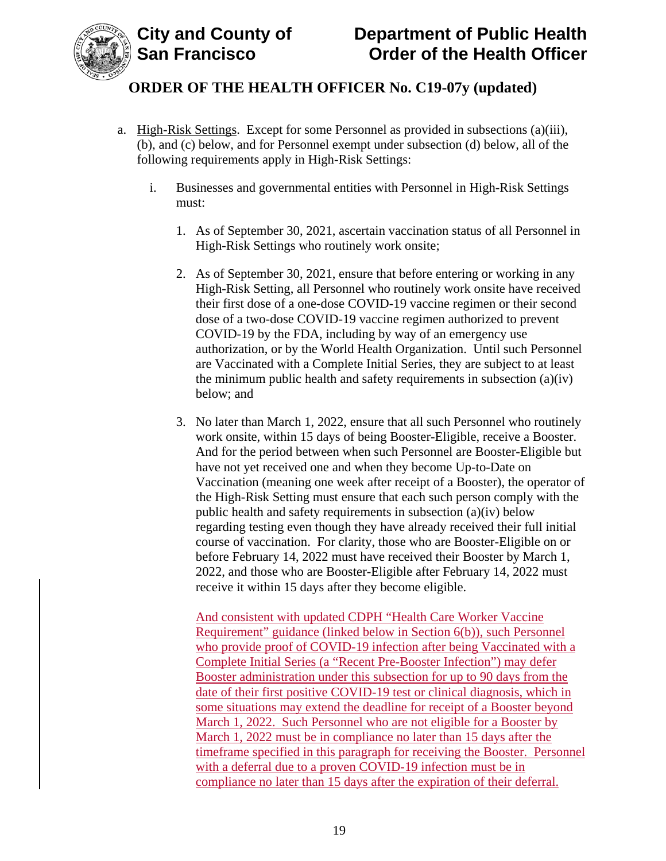

- a. High-Risk Settings. Except for some Personnel as provided in subsections (a)(iii), (b), and (c) below, and for Personnel exempt under subsection (d) below, all of the following requirements apply in High-Risk Settings:
	- i. Businesses and governmental entities with Personnel in High-Risk Settings must:
		- 1. As of September 30, 2021, ascertain vaccination status of all Personnel in High-Risk Settings who routinely work onsite;
		- 2. As of September 30, 2021, ensure that before entering or working in any High-Risk Setting, all Personnel who routinely work onsite have received their first dose of a one-dose COVID-19 vaccine regimen or their second dose of a two-dose COVID-19 vaccine regimen authorized to prevent COVID-19 by the FDA, including by way of an emergency use authorization, or by the World Health Organization. Until such Personnel are Vaccinated with a Complete Initial Series, they are subject to at least the minimum public health and safety requirements in subsection (a)(iv) below; and
		- 3. No later than March 1, 2022, ensure that all such Personnel who routinely work onsite, within 15 days of being Booster-Eligible, receive a Booster. And for the period between when such Personnel are Booster-Eligible but have not yet received one and when they become Up-to-Date on Vaccination (meaning one week after receipt of a Booster), the operator of the High-Risk Setting must ensure that each such person comply with the public health and safety requirements in subsection (a)(iv) below regarding testing even though they have already received their full initial course of vaccination. For clarity, those who are Booster-Eligible on or before February 14, 2022 must have received their Booster by March 1, 2022, and those who are Booster-Eligible after February 14, 2022 must receive it within 15 days after they become eligible.

And consistent with updated CDPH "Health Care Worker Vaccine Requirement" guidance (linked below in Section 6(b)), such Personnel who provide proof of COVID-19 infection after being Vaccinated with a Complete Initial Series (a "Recent Pre-Booster Infection") may defer Booster administration under this subsection for up to 90 days from the date of their first positive COVID-19 test or clinical diagnosis, which in some situations may extend the deadline for receipt of a Booster beyond March 1, 2022. Such Personnel who are not eligible for a Booster by March 1, 2022 must be in compliance no later than 15 days after the timeframe specified in this paragraph for receiving the Booster. Personnel with a deferral due to a proven COVID-19 infection must be in compliance no later than 15 days after the expiration of their deferral.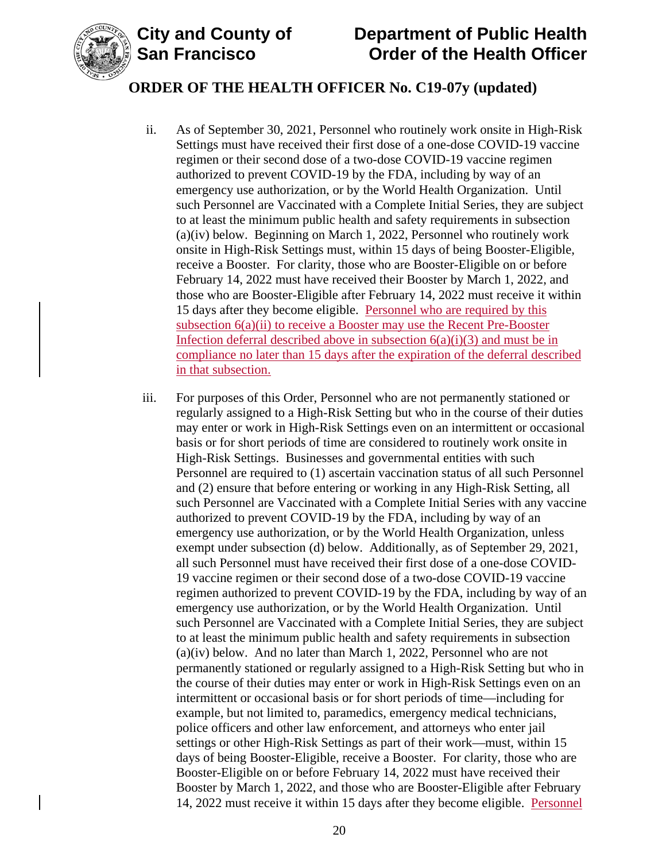

- ii. As of September 30, 2021, Personnel who routinely work onsite in High-Risk Settings must have received their first dose of a one-dose COVID-19 vaccine regimen or their second dose of a two-dose COVID-19 vaccine regimen authorized to prevent COVID-19 by the FDA, including by way of an emergency use authorization, or by the World Health Organization. Until such Personnel are Vaccinated with a Complete Initial Series, they are subject to at least the minimum public health and safety requirements in subsection (a)(iv) below. Beginning on March 1, 2022, Personnel who routinely work onsite in High-Risk Settings must, within 15 days of being Booster-Eligible, receive a Booster. For clarity, those who are Booster-Eligible on or before February 14, 2022 must have received their Booster by March 1, 2022, and those who are Booster-Eligible after February 14, 2022 must receive it within 15 days after they become eligible. Personnel who are required by this subsection 6(a)(ii) to receive a Booster may use the Recent Pre-Booster Infection deferral described above in subsection  $6(a)(i)(3)$  and must be in compliance no later than 15 days after the expiration of the deferral described in that subsection.
- iii. For purposes of this Order, Personnel who are not permanently stationed or regularly assigned to a High-Risk Setting but who in the course of their duties may enter or work in High-Risk Settings even on an intermittent or occasional basis or for short periods of time are considered to routinely work onsite in High-Risk Settings. Businesses and governmental entities with such Personnel are required to (1) ascertain vaccination status of all such Personnel and (2) ensure that before entering or working in any High-Risk Setting, all such Personnel are Vaccinated with a Complete Initial Series with any vaccine authorized to prevent COVID-19 by the FDA, including by way of an emergency use authorization, or by the World Health Organization, unless exempt under subsection (d) below. Additionally, as of September 29, 2021, all such Personnel must have received their first dose of a one-dose COVID-19 vaccine regimen or their second dose of a two-dose COVID-19 vaccine regimen authorized to prevent COVID-19 by the FDA, including by way of an emergency use authorization, or by the World Health Organization. Until such Personnel are Vaccinated with a Complete Initial Series, they are subject to at least the minimum public health and safety requirements in subsection (a)(iv) below. And no later than March 1, 2022, Personnel who are not permanently stationed or regularly assigned to a High-Risk Setting but who in the course of their duties may enter or work in High-Risk Settings even on an intermittent or occasional basis or for short periods of time—including for example, but not limited to, paramedics, emergency medical technicians, police officers and other law enforcement, and attorneys who enter jail settings or other High-Risk Settings as part of their work—must, within 15 days of being Booster-Eligible, receive a Booster. For clarity, those who are Booster-Eligible on or before February 14, 2022 must have received their Booster by March 1, 2022, and those who are Booster-Eligible after February 14, 2022 must receive it within 15 days after they become eligible. Personnel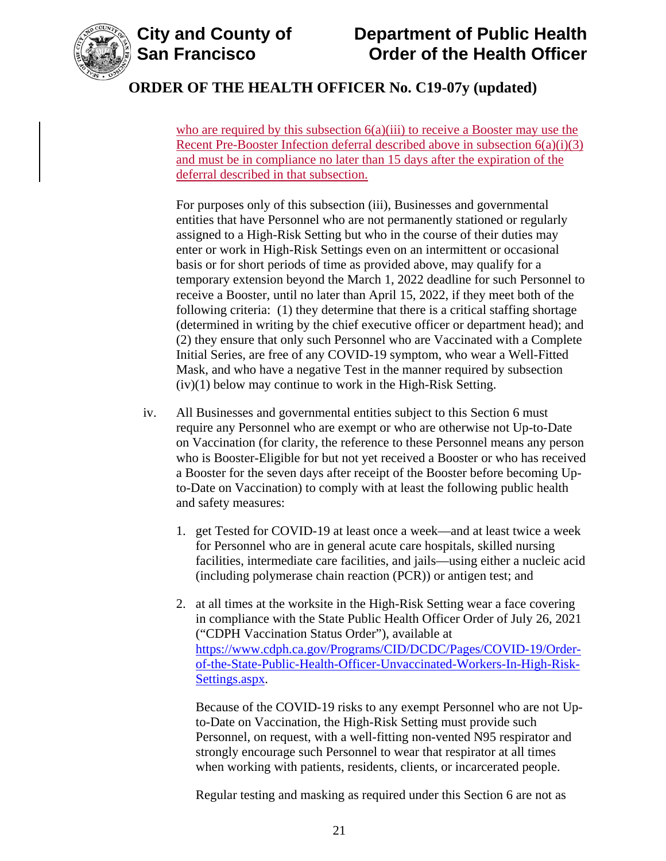

# **City and County of Department of Public Health Order of the Health Officer**

## **ORDER OF THE HEALTH OFFICER No. C19-07y (updated)**

who are required by this subsection  $6(a)(iii)$  to receive a Booster may use the Recent Pre-Booster Infection deferral described above in subsection  $6(a)(i)(3)$ and must be in compliance no later than 15 days after the expiration of the deferral described in that subsection.

For purposes only of this subsection (iii), Businesses and governmental entities that have Personnel who are not permanently stationed or regularly assigned to a High-Risk Setting but who in the course of their duties may enter or work in High-Risk Settings even on an intermittent or occasional basis or for short periods of time as provided above, may qualify for a temporary extension beyond the March 1, 2022 deadline for such Personnel to receive a Booster, until no later than April 15, 2022, if they meet both of the following criteria: (1) they determine that there is a critical staffing shortage (determined in writing by the chief executive officer or department head); and (2) they ensure that only such Personnel who are Vaccinated with a Complete Initial Series, are free of any COVID-19 symptom, who wear a Well-Fitted Mask, and who have a negative Test in the manner required by subsection (iv)(1) below may continue to work in the High-Risk Setting.

- iv. All Businesses and governmental entities subject to this Section 6 must require any Personnel who are exempt or who are otherwise not Up-to-Date on Vaccination (for clarity, the reference to these Personnel means any person who is Booster-Eligible for but not yet received a Booster or who has received a Booster for the seven days after receipt of the Booster before becoming Upto-Date on Vaccination) to comply with at least the following public health and safety measures:
	- 1. get Tested for COVID-19 at least once a week—and at least twice a week for Personnel who are in general acute care hospitals, skilled nursing facilities, intermediate care facilities, and jails—using either a nucleic acid (including polymerase chain reaction (PCR)) or antigen test; and
	- 2. at all times at the worksite in the High-Risk Setting wear a face covering in compliance with the State Public Health Officer Order of July 26, 2021 ("CDPH Vaccination Status Order"), available at [https://www.cdph.ca.gov/Programs/CID/DCDC/Pages/COVID-19/Order](https://www.cdph.ca.gov/Programs/CID/DCDC/Pages/COVID-19/Order-of-the-State-Public-Health-Officer-Unvaccinated-Workers-In-High-Risk-Settings.aspx)[of-the-State-Public-Health-Officer-Unvaccinated-Workers-In-High-Risk-](https://www.cdph.ca.gov/Programs/CID/DCDC/Pages/COVID-19/Order-of-the-State-Public-Health-Officer-Unvaccinated-Workers-In-High-Risk-Settings.aspx)[Settings.aspx.](https://www.cdph.ca.gov/Programs/CID/DCDC/Pages/COVID-19/Order-of-the-State-Public-Health-Officer-Unvaccinated-Workers-In-High-Risk-Settings.aspx)

Because of the COVID-19 risks to any exempt Personnel who are not Upto-Date on Vaccination, the High-Risk Setting must provide such Personnel, on request, with a well-fitting non-vented N95 respirator and strongly encourage such Personnel to wear that respirator at all times when working with patients, residents, clients, or incarcerated people.

Regular testing and masking as required under this Section 6 are not as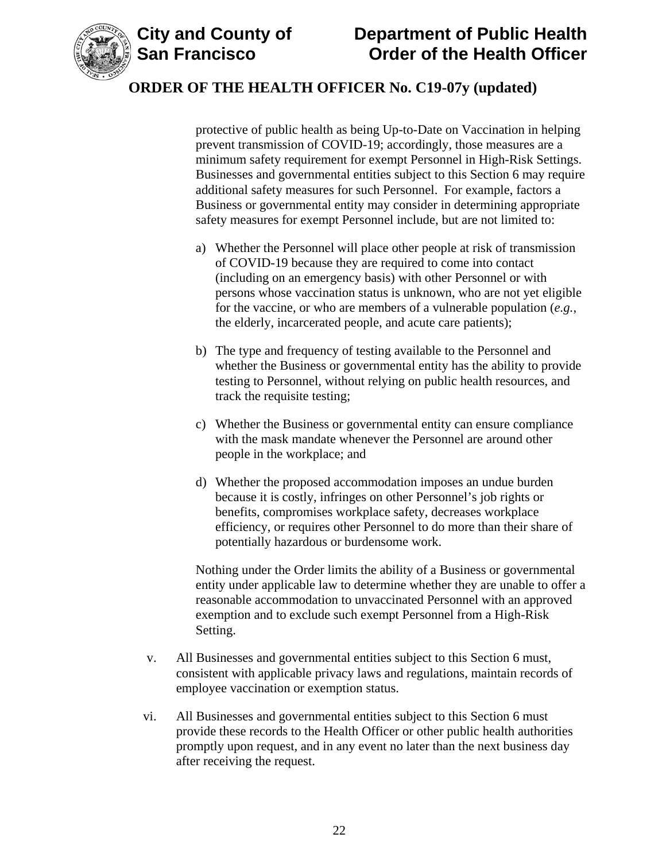

protective of public health as being Up-to-Date on Vaccination in helping prevent transmission of COVID-19; accordingly, those measures are a minimum safety requirement for exempt Personnel in High-Risk Settings. Businesses and governmental entities subject to this Section 6 may require additional safety measures for such Personnel. For example, factors a Business or governmental entity may consider in determining appropriate safety measures for exempt Personnel include, but are not limited to:

- a) Whether the Personnel will place other people at risk of transmission of COVID-19 because they are required to come into contact (including on an emergency basis) with other Personnel or with persons whose vaccination status is unknown, who are not yet eligible for the vaccine, or who are members of a vulnerable population (*e.g.*, the elderly, incarcerated people, and acute care patients);
- b) The type and frequency of testing available to the Personnel and whether the Business or governmental entity has the ability to provide testing to Personnel, without relying on public health resources, and track the requisite testing;
- c) Whether the Business or governmental entity can ensure compliance with the mask mandate whenever the Personnel are around other people in the workplace; and
- d) Whether the proposed accommodation imposes an undue burden because it is costly, infringes on other Personnel's job rights or benefits, compromises workplace safety, decreases workplace efficiency, or requires other Personnel to do more than their share of potentially hazardous or burdensome work.

Nothing under the Order limits the ability of a Business or governmental entity under applicable law to determine whether they are unable to offer a reasonable accommodation to unvaccinated Personnel with an approved exemption and to exclude such exempt Personnel from a High-Risk Setting.

- v. All Businesses and governmental entities subject to this Section 6 must, consistent with applicable privacy laws and regulations, maintain records of employee vaccination or exemption status.
- vi. All Businesses and governmental entities subject to this Section 6 must provide these records to the Health Officer or other public health authorities promptly upon request, and in any event no later than the next business day after receiving the request.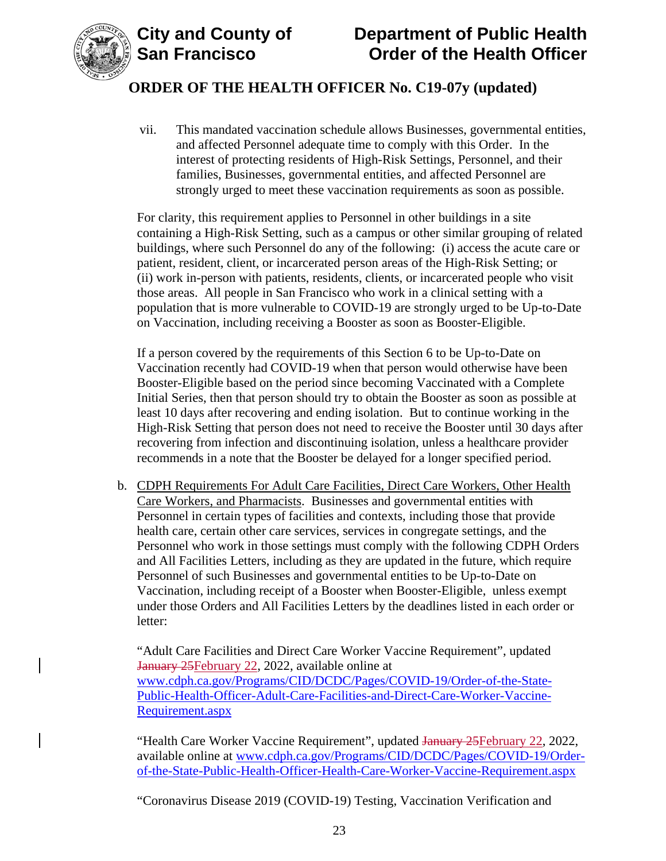



vii. This mandated vaccination schedule allows Businesses, governmental entities, and affected Personnel adequate time to comply with this Order. In the interest of protecting residents of High-Risk Settings, Personnel, and their families, Businesses, governmental entities, and affected Personnel are strongly urged to meet these vaccination requirements as soon as possible.

For clarity, this requirement applies to Personnel in other buildings in a site containing a High-Risk Setting, such as a campus or other similar grouping of related buildings, where such Personnel do any of the following: (i) access the acute care or patient, resident, client, or incarcerated person areas of the High-Risk Setting; or (ii) work in-person with patients, residents, clients, or incarcerated people who visit those areas. All people in San Francisco who work in a clinical setting with a population that is more vulnerable to COVID-19 are strongly urged to be Up-to-Date on Vaccination, including receiving a Booster as soon as Booster-Eligible.

If a person covered by the requirements of this Section 6 to be Up-to-Date on Vaccination recently had COVID-19 when that person would otherwise have been Booster-Eligible based on the period since becoming Vaccinated with a Complete Initial Series, then that person should try to obtain the Booster as soon as possible at least 10 days after recovering and ending isolation. But to continue working in the High-Risk Setting that person does not need to receive the Booster until 30 days after recovering from infection and discontinuing isolation, unless a healthcare provider recommends in a note that the Booster be delayed for a longer specified period.

b. CDPH Requirements For Adult Care Facilities, Direct Care Workers, Other Health Care Workers, and Pharmacists. Businesses and governmental entities with Personnel in certain types of facilities and contexts, including those that provide health care, certain other care services, services in congregate settings, and the Personnel who work in those settings must comply with the following CDPH Orders and All Facilities Letters, including as they are updated in the future, which require Personnel of such Businesses and governmental entities to be Up-to-Date on Vaccination, including receipt of a Booster when Booster-Eligible, unless exempt under those Orders and All Facilities Letters by the deadlines listed in each order or letter:

"Adult Care Facilities and Direct Care Worker Vaccine Requirement", updated January 25 February 22, 2022, available online at [www.cdph.ca.gov/Programs/CID/DCDC/Pages/COVID-19/Order-of-the-State-](https://www.cdph.ca.gov/Programs/CID/DCDC/Pages/COVID-19/Order-of-the-State-Public-Health-Officer-Adult-Care-Facilities-and-Direct-Care-Worker-Vaccine-Requirement.aspx)[Public-Health-Officer-Adult-Care-Facilities-and-Direct-Care-Worker-Vaccine-](https://www.cdph.ca.gov/Programs/CID/DCDC/Pages/COVID-19/Order-of-the-State-Public-Health-Officer-Adult-Care-Facilities-and-Direct-Care-Worker-Vaccine-Requirement.aspx)[Requirement.aspx](https://www.cdph.ca.gov/Programs/CID/DCDC/Pages/COVID-19/Order-of-the-State-Public-Health-Officer-Adult-Care-Facilities-and-Direct-Care-Worker-Vaccine-Requirement.aspx)

"Health Care Worker Vaccine Requirement", updated January 25 February 22, 2022, available online at [www.cdph.ca.gov/Programs/CID/DCDC/Pages/COVID-19/Order](https://www.cdph.ca.gov/Programs/CID/DCDC/Pages/COVID-19/Order-of-the-State-Public-Health-Officer-Health-Care-Worker-Vaccine-Requirement.aspx)[of-the-State-Public-Health-Officer-Health-Care-Worker-Vaccine-Requirement.aspx](https://www.cdph.ca.gov/Programs/CID/DCDC/Pages/COVID-19/Order-of-the-State-Public-Health-Officer-Health-Care-Worker-Vaccine-Requirement.aspx)

"Coronavirus Disease 2019 (COVID-19) Testing, Vaccination Verification and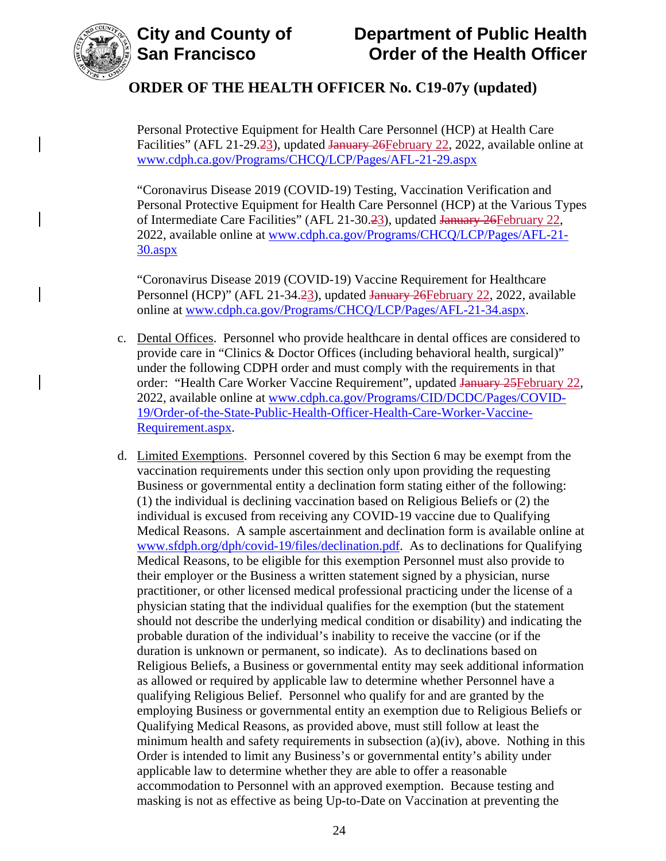

Personal Protective Equipment for Health Care Personnel (HCP) at Health Care Facilities" (AFL 21-29.23), updated January 26 February 22, 2022, available online at [www.cdph.ca.gov/Programs/CHCQ/LCP/Pages/AFL-21-29.aspx](https://www.cdph.ca.gov/Programs/CHCQ/LCP/Pages/AFL-21-29.aspx)

"Coronavirus Disease 2019 (COVID-19) Testing, Vaccination Verification and Personal Protective Equipment for Health Care Personnel (HCP) at the Various Types of Intermediate Care Facilities" (AFL 21-30.23), updated January 26 February 22, 2022, available online at [www.cdph.ca.gov/Programs/CHCQ/LCP/Pages/AFL-21-](https://www.cdph.ca.gov/Programs/CHCQ/LCP/Pages/AFL-21-30.aspx) [30.aspx](https://www.cdph.ca.gov/Programs/CHCQ/LCP/Pages/AFL-21-30.aspx)

"Coronavirus Disease 2019 (COVID-19) Vaccine Requirement for Healthcare Personnel (HCP)" (AFL 21-34.23), updated January 26February 22, 2022, available online at [www.cdph.ca.gov/Programs/CHCQ/LCP/Pages/AFL-21-34.aspx.](https://www.cdph.ca.gov/Programs/CHCQ/LCP/Pages/AFL-21-34.aspx)

- c. Dental Offices. Personnel who provide healthcare in dental offices are considered to provide care in "Clinics & Doctor Offices (including behavioral health, surgical)" under the following CDPH order and must comply with the requirements in that order: "Health Care Worker Vaccine Requirement", updated January 25 February 22, 2022, available online at [www.cdph.ca.gov/Programs/CID/DCDC/Pages/COVID-](https://www.cdph.ca.gov/Programs/CID/DCDC/Pages/COVID-19/Order-of-the-State-Public-Health-Officer-Health-Care-Worker-Vaccine-Requirement.aspx)[19/Order-of-the-State-Public-Health-Officer-Health-Care-Worker-Vaccine-](https://www.cdph.ca.gov/Programs/CID/DCDC/Pages/COVID-19/Order-of-the-State-Public-Health-Officer-Health-Care-Worker-Vaccine-Requirement.aspx)[Requirement.aspx.](https://www.cdph.ca.gov/Programs/CID/DCDC/Pages/COVID-19/Order-of-the-State-Public-Health-Officer-Health-Care-Worker-Vaccine-Requirement.aspx)
- d. Limited Exemptions. Personnel covered by this Section 6 may be exempt from the vaccination requirements under this section only upon providing the requesting Business or governmental entity a declination form stating either of the following: (1) the individual is declining vaccination based on Religious Beliefs or (2) the individual is excused from receiving any COVID-19 vaccine due to Qualifying Medical Reasons. A sample ascertainment and declination form is available online at [www.sfdph.org/dph/covid-19/files/declination.pdf.](https://www.sfdph.org/dph/covid-19/files/declination.pdf) As to declinations for Qualifying Medical Reasons, to be eligible for this exemption Personnel must also provide to their employer or the Business a written statement signed by a physician, nurse practitioner, or other licensed medical professional practicing under the license of a physician stating that the individual qualifies for the exemption (but the statement should not describe the underlying medical condition or disability) and indicating the probable duration of the individual's inability to receive the vaccine (or if the duration is unknown or permanent, so indicate). As to declinations based on Religious Beliefs, a Business or governmental entity may seek additional information as allowed or required by applicable law to determine whether Personnel have a qualifying Religious Belief. Personnel who qualify for and are granted by the employing Business or governmental entity an exemption due to Religious Beliefs or Qualifying Medical Reasons, as provided above, must still follow at least the minimum health and safety requirements in subsection (a)(iv), above. Nothing in this Order is intended to limit any Business's or governmental entity's ability under applicable law to determine whether they are able to offer a reasonable accommodation to Personnel with an approved exemption. Because testing and masking is not as effective as being Up-to-Date on Vaccination at preventing the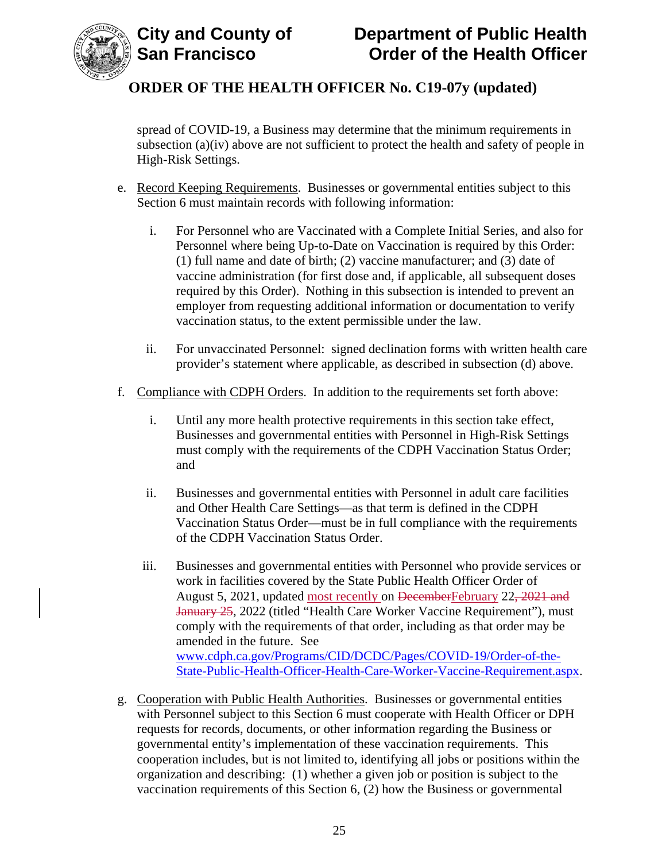



spread of COVID-19, a Business may determine that the minimum requirements in subsection (a)(iv) above are not sufficient to protect the health and safety of people in High-Risk Settings.

- e. Record Keeping Requirements. Businesses or governmental entities subject to this Section 6 must maintain records with following information:
	- i. For Personnel who are Vaccinated with a Complete Initial Series, and also for Personnel where being Up-to-Date on Vaccination is required by this Order: (1) full name and date of birth; (2) vaccine manufacturer; and (3) date of vaccine administration (for first dose and, if applicable, all subsequent doses required by this Order). Nothing in this subsection is intended to prevent an employer from requesting additional information or documentation to verify vaccination status, to the extent permissible under the law.
	- ii. For unvaccinated Personnel: signed declination forms with written health care provider's statement where applicable, as described in subsection (d) above.
- f. Compliance with CDPH Orders. In addition to the requirements set forth above:
	- i. Until any more health protective requirements in this section take effect, Businesses and governmental entities with Personnel in High-Risk Settings must comply with the requirements of the CDPH Vaccination Status Order; and
	- ii. Businesses and governmental entities with Personnel in adult care facilities and Other Health Care Settings—as that term is defined in the CDPH Vaccination Status Order—must be in full compliance with the requirements of the CDPH Vaccination Status Order.
	- iii. Businesses and governmental entities with Personnel who provide services or work in facilities covered by the State Public Health Officer Order of August 5, 2021, updated most recently on DecemberFebruary 22, 2021 and January 25, 2022 (titled "Health Care Worker Vaccine Requirement"), must comply with the requirements of that order, including as that order may be amended in the future. See [www.cdph.ca.gov/Programs/CID/DCDC/Pages/COVID-19/Order-of-the-](https://www.cdph.ca.gov/Programs/CID/DCDC/Pages/COVID-19/Order-of-the-State-Public-Health-Officer-Health-Care-Worker-Vaccine-Requirement.aspx)[State-Public-Health-Officer-Health-Care-Worker-Vaccine-Requirement.aspx.](https://www.cdph.ca.gov/Programs/CID/DCDC/Pages/COVID-19/Order-of-the-State-Public-Health-Officer-Health-Care-Worker-Vaccine-Requirement.aspx)
- g. Cooperation with Public Health Authorities. Businesses or governmental entities with Personnel subject to this Section 6 must cooperate with Health Officer or DPH requests for records, documents, or other information regarding the Business or governmental entity's implementation of these vaccination requirements. This cooperation includes, but is not limited to, identifying all jobs or positions within the organization and describing: (1) whether a given job or position is subject to the vaccination requirements of this Section 6, (2) how the Business or governmental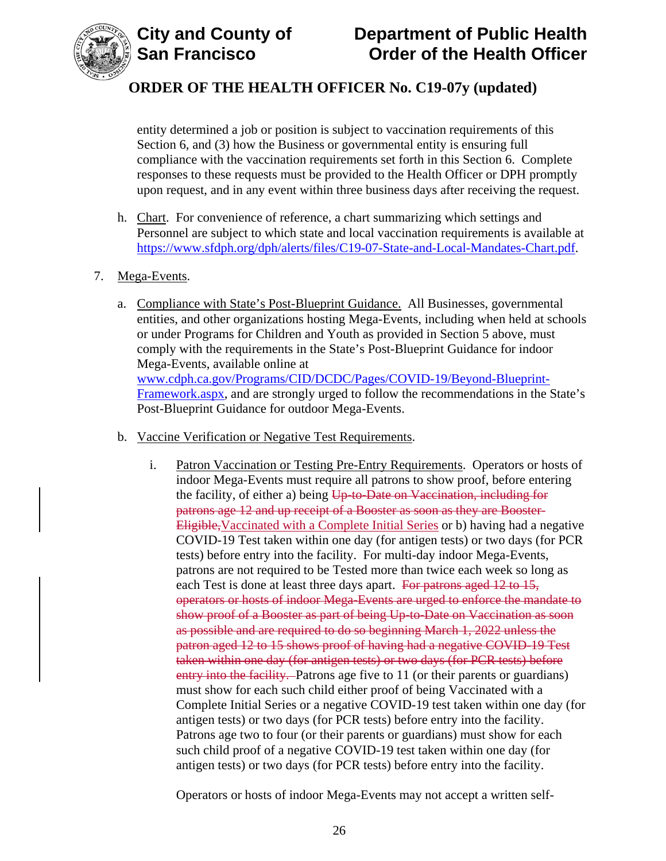

entity determined a job or position is subject to vaccination requirements of this Section 6, and (3) how the Business or governmental entity is ensuring full compliance with the vaccination requirements set forth in this Section 6. Complete responses to these requests must be provided to the Health Officer or DPH promptly upon request, and in any event within three business days after receiving the request.

- h. Chart. For convenience of reference, a chart summarizing which settings and Personnel are subject to which state and local vaccination requirements is available at [https://www.sfdph.org/dph/alerts/files/C19-07-State-and-Local-Mandates-Chart.pdf.](https://www.sfdph.org/dph/alerts/files/C19-07-State-and-Local-Mandates-Chart.pdf)
- 7. Mega-Events.
	- a. Compliance with State's Post-Blueprint Guidance. All Businesses, governmental entities, and other organizations hosting Mega-Events, including when held at schools or under Programs for Children and Youth as provided in Section 5 above, must comply with the requirements in the State's Post-Blueprint Guidance for indoor Mega-Events, available online at [www.cdph.ca.gov/Programs/CID/DCDC/Pages/COVID-19/Beyond-Blueprint-](https://www.cdph.ca.gov/Programs/CID/DCDC/Pages/COVID-19/Beyond-Blueprint-Framework.aspx)[Framework.aspx,](https://www.cdph.ca.gov/Programs/CID/DCDC/Pages/COVID-19/Beyond-Blueprint-Framework.aspx) and are strongly urged to follow the recommendations in the State's Post-Blueprint Guidance for outdoor Mega-Events.
	- b. Vaccine Verification or Negative Test Requirements.
		- i. Patron Vaccination or Testing Pre-Entry Requirements. Operators or hosts of indoor Mega-Events must require all patrons to show proof, before entering the facility, of either a) being  $U_{p-to-Date}$  on Vaccination, including for patrons age 12 and up receipt of a Booster as soon as they are Booster-Eligible,Vaccinated with a Complete Initial Series or b) having had a negative COVID-19 Test taken within one day (for antigen tests) or two days (for PCR tests) before entry into the facility. For multi-day indoor Mega-Events, patrons are not required to be Tested more than twice each week so long as each Test is done at least three days apart. For patrons aged 12 to 15, operators or hosts of indoor Mega-Events are urged to enforce the mandate to show proof of a Booster as part of being Up-to-Date on Vaccination as soon as possible and are required to do so beginning March 1, 2022 unless the patron aged 12 to 15 shows proof of having had a negative COVID-19 Test taken within one day (for antigen tests) or two days (for PCR tests) before entry into the facility. Patrons age five to 11 (or their parents or guardians) must show for each such child either proof of being Vaccinated with a Complete Initial Series or a negative COVID-19 test taken within one day (for antigen tests) or two days (for PCR tests) before entry into the facility. Patrons age two to four (or their parents or guardians) must show for each such child proof of a negative COVID-19 test taken within one day (for antigen tests) or two days (for PCR tests) before entry into the facility.

Operators or hosts of indoor Mega-Events may not accept a written self-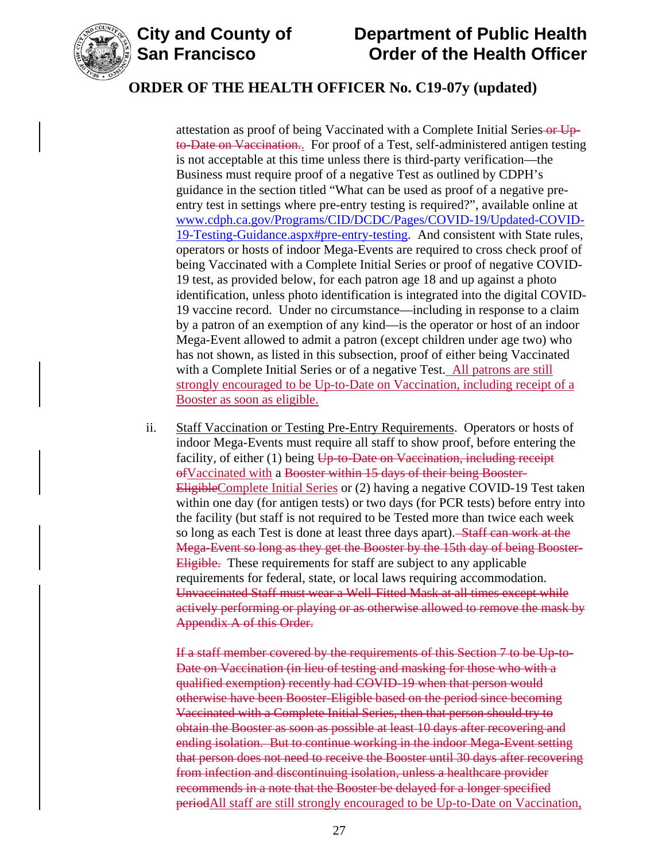

attestation as proof of being Vaccinated with a Complete Initial Series or Upto-Date on Vaccination.. For proof of a Test, self-administered antigen testing is not acceptable at this time unless there is third-party verification—the Business must require proof of a negative Test as outlined by CDPH's guidance in the section titled "What can be used as proof of a negative preentry test in settings where pre-entry testing is required?", available online at [www.cdph.ca.gov/Programs/CID/DCDC/Pages/COVID-19/Updated-COVID-](https://www.cdph.ca.gov/Programs/CID/DCDC/Pages/COVID-19/Updated-COVID-19-Testing-Guidance.aspx#pre-entry-testing)[19-Testing-Guidance.aspx#pre-entry-testing.](https://www.cdph.ca.gov/Programs/CID/DCDC/Pages/COVID-19/Updated-COVID-19-Testing-Guidance.aspx#pre-entry-testing) And consistent with State rules, operators or hosts of indoor Mega-Events are required to cross check proof of being Vaccinated with a Complete Initial Series or proof of negative COVID-19 test, as provided below, for each patron age 18 and up against a photo identification, unless photo identification is integrated into the digital COVID-19 vaccine record. Under no circumstance—including in response to a claim by a patron of an exemption of any kind—is the operator or host of an indoor Mega-Event allowed to admit a patron (except children under age two) who has not shown, as listed in this subsection, proof of either being Vaccinated with a Complete Initial Series or of a negative Test. All patrons are still strongly encouraged to be Up-to-Date on Vaccination, including receipt of a Booster as soon as eligible.

ii. Staff Vaccination or Testing Pre-Entry Requirements. Operators or hosts of indoor Mega-Events must require all staff to show proof, before entering the facility, of either (1) being Up-to-Date on Vaccination, including receipt ofVaccinated with a Booster within 15 days of their being Booster-EligibleComplete Initial Series or (2) having a negative COVID-19 Test taken within one day (for antigen tests) or two days (for PCR tests) before entry into the facility (but staff is not required to be Tested more than twice each week so long as each Test is done at least three days apart). Staff can work at the Mega-Event so long as they get the Booster by the 15th day of being Booster-Eligible. These requirements for staff are subject to any applicable requirements for federal, state, or local laws requiring accommodation. Unvaccinated Staff must wear a Well-Fitted Mask at all times except while actively performing or playing or as otherwise allowed to remove the mask by Appendix A of this Order.

If a staff member covered by the requirements of this Section 7 to be Up-to-Date on Vaccination (in lieu of testing and masking for those who with a qualified exemption) recently had COVID-19 when that person would otherwise have been Booster-Eligible based on the period since becoming Vaccinated with a Complete Initial Series, then that person should try to obtain the Booster as soon as possible at least 10 days after recovering and ending isolation. But to continue working in the indoor Mega-Event setting that person does not need to receive the Booster until 30 days after recovering from infection and discontinuing isolation, unless a healthcare provider recommends in a note that the Booster be delayed for a longer specified periodAll staff are still strongly encouraged to be Up-to-Date on Vaccination,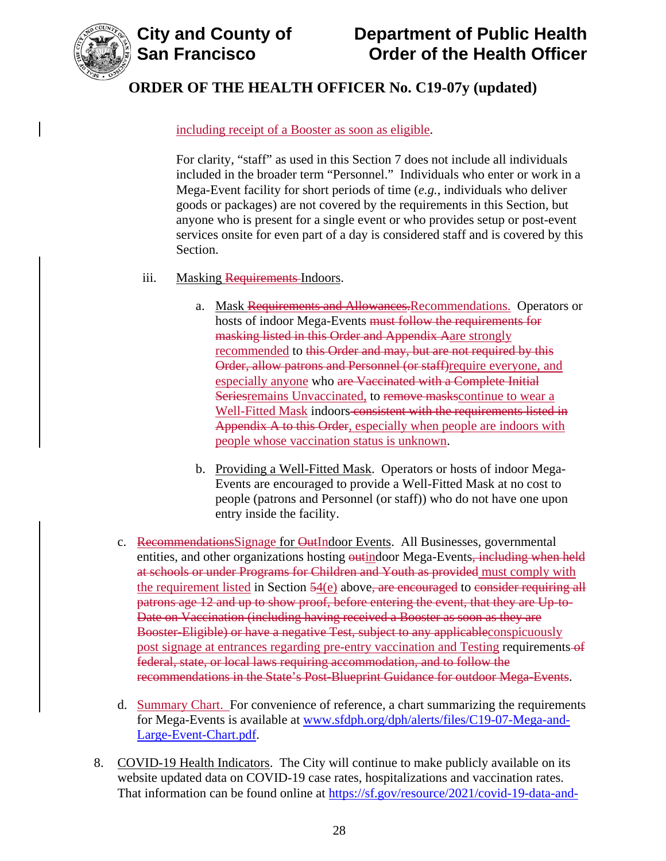

# **City and County of County of Department of Public Health<br>San Francisco Corder of the Health Officer Order of the Health Officer**

## **ORDER OF THE HEALTH OFFICER No. C19-07y (updated)**

## including receipt of a Booster as soon as eligible.

For clarity, "staff" as used in this Section 7 does not include all individuals included in the broader term "Personnel." Individuals who enter or work in a Mega-Event facility for short periods of time (*e.g.*, individuals who deliver goods or packages) are not covered by the requirements in this Section, but anyone who is present for a single event or who provides setup or post-event services onsite for even part of a day is considered staff and is covered by this Section.

- iii. Masking Requirements-Indoors.
	- a. Mask Requirements and Allowances.Recommendations. Operators or hosts of indoor Mega-Events must follow the requirements for masking listed in this Order and Appendix Aare strongly recommended to this Order and may, but are not required by this Order, allow patrons and Personnel (or staff)require everyone, and especially anyone who are Vaccinated with a Complete Initial Seriesremains Unvaccinated, to remove masks continue to wear a Well-Fitted Mask indoors consistent with the requirements listed in Appendix A to this Order, especially when people are indoors with people whose vaccination status is unknown.
	- b. Providing a Well-Fitted Mask. Operators or hosts of indoor Mega-Events are encouraged to provide a Well-Fitted Mask at no cost to people (patrons and Personnel (or staff)) who do not have one upon entry inside the facility.
- c. Recommendations Signage for OutIndoor Events. All Businesses, governmental entities, and other organizations hosting outindoor Mega-Events, including when held at schools or under Programs for Children and Youth as provided must comply with the requirement listed in Section 54(e) above, are encouraged to consider requiring all patrons age 12 and up to show proof, before entering the event, that they are Up-to-Date on Vaccination (including having received a Booster as soon as they are Booster-Eligible) or have a negative Test, subject to any applicableconspicuously post signage at entrances regarding pre-entry vaccination and Testing requirements of federal, state, or local laws requiring accommodation, and to follow the recommendations in the State's Post-Blueprint Guidance for outdoor Mega-Events.
- d. Summary Chart. For convenience of reference, a chart summarizing the requirements for Mega-Events is available at [www.sfdph.org/dph/alerts/files/C19-07-Mega-and-](https://www.sfdph.org/dph/alerts/files/C19-07-Mega-and-Large-Event-Chart.pdf)[Large-Event-Chart.pdf.](https://www.sfdph.org/dph/alerts/files/C19-07-Mega-and-Large-Event-Chart.pdf)
- 8. COVID-19 Health Indicators. The City will continue to make publicly available on its website updated data on COVID-19 case rates, hospitalizations and vaccination rates. That information can be found online at [https://sf.gov/resource/2021/covid-19-data-and-](https://sf.gov/resource/2021/covid-19-data-and-reports)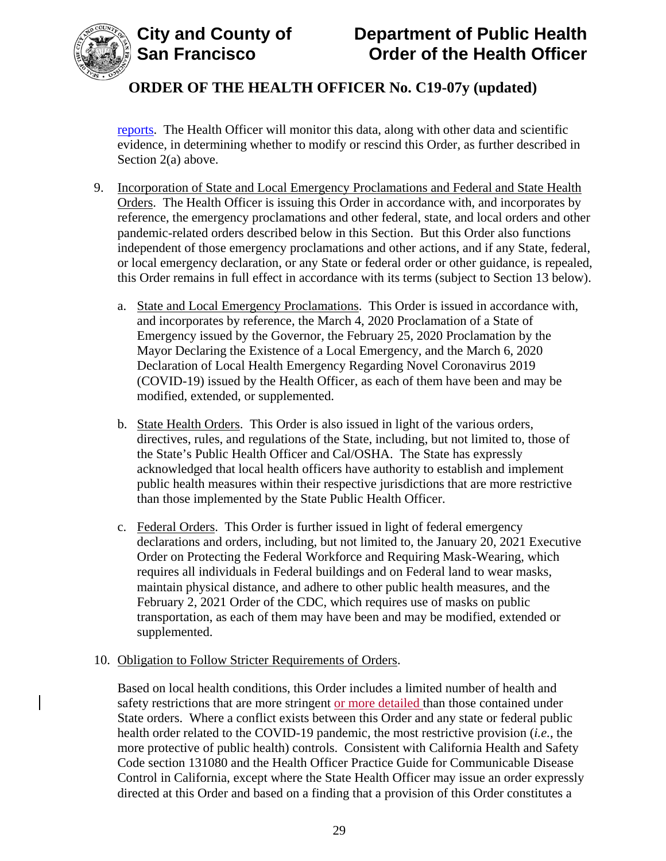

[reports.](https://sf.gov/resource/2021/covid-19-data-and-reports) The Health Officer will monitor this data, along with other data and scientific evidence, in determining whether to modify or rescind this Order, as further described in Section 2(a) above.

- 9. Incorporation of State and Local Emergency Proclamations and Federal and State Health Orders. The Health Officer is issuing this Order in accordance with, and incorporates by reference, the emergency proclamations and other federal, state, and local orders and other pandemic-related orders described below in this Section. But this Order also functions independent of those emergency proclamations and other actions, and if any State, federal, or local emergency declaration, or any State or federal order or other guidance, is repealed, this Order remains in full effect in accordance with its terms (subject to Section 13 below).
	- a. State and Local Emergency Proclamations. This Order is issued in accordance with, and incorporates by reference, the March 4, 2020 Proclamation of a State of Emergency issued by the Governor, the February 25, 2020 Proclamation by the Mayor Declaring the Existence of a Local Emergency, and the March 6, 2020 Declaration of Local Health Emergency Regarding Novel Coronavirus 2019 (COVID-19) issued by the Health Officer, as each of them have been and may be modified, extended, or supplemented.
	- b. State Health Orders. This Order is also issued in light of the various orders, directives, rules, and regulations of the State, including, but not limited to, those of the State's Public Health Officer and Cal/OSHA. The State has expressly acknowledged that local health officers have authority to establish and implement public health measures within their respective jurisdictions that are more restrictive than those implemented by the State Public Health Officer.
	- c. Federal Orders. This Order is further issued in light of federal emergency declarations and orders, including, but not limited to, the January 20, 2021 Executive Order on Protecting the Federal Workforce and Requiring Mask-Wearing, which requires all individuals in Federal buildings and on Federal land to wear masks, maintain physical distance, and adhere to other public health measures, and the February 2, 2021 Order of the CDC, which requires use of masks on public transportation, as each of them may have been and may be modified, extended or supplemented.

#### 10. Obligation to Follow Stricter Requirements of Orders.

Based on local health conditions, this Order includes a limited number of health and safety restrictions that are more stringent or more detailed than those contained under State orders. Where a conflict exists between this Order and any state or federal public health order related to the COVID-19 pandemic, the most restrictive provision (*i.e.*, the more protective of public health) controls. Consistent with California Health and Safety Code section 131080 and the Health Officer Practice Guide for Communicable Disease Control in California, except where the State Health Officer may issue an order expressly directed at this Order and based on a finding that a provision of this Order constitutes a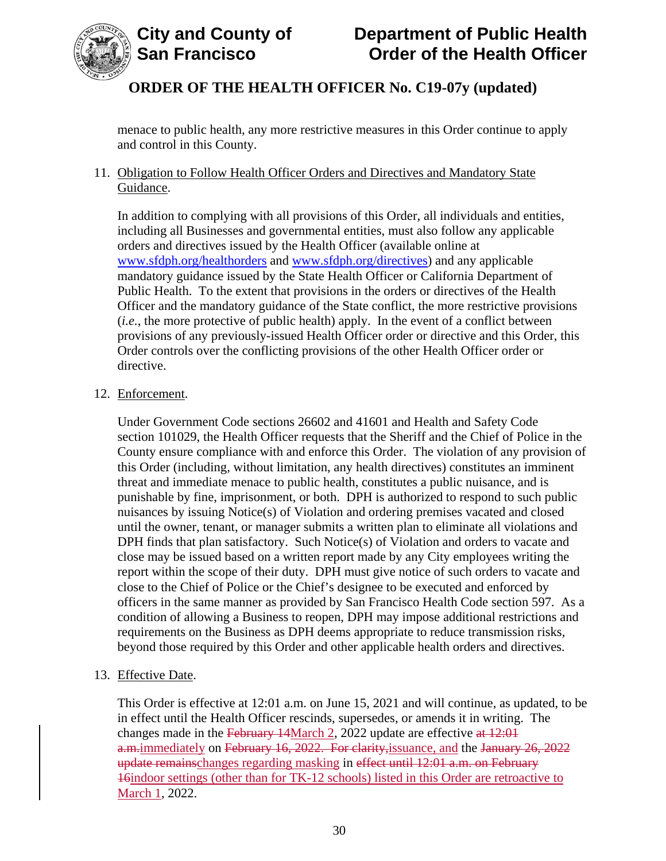

menace to public health, any more restrictive measures in this Order continue to apply and control in this County.

## 11. Obligation to Follow Health Officer Orders and Directives and Mandatory State Guidance.

In addition to complying with all provisions of this Order, all individuals and entities, including all Businesses and governmental entities, must also follow any applicable orders and directives issued by the Health Officer (available online at [www.sfdph.org/healthorders](http://www.sfdph.org/healthorders) and [www.sfdph.org/directives\)](https://www.sfdph.org/directives) and any applicable mandatory guidance issued by the State Health Officer or California Department of Public Health. To the extent that provisions in the orders or directives of the Health Officer and the mandatory guidance of the State conflict, the more restrictive provisions (*i.e.*, the more protective of public health) apply. In the event of a conflict between provisions of any previously-issued Health Officer order or directive and this Order, this Order controls over the conflicting provisions of the other Health Officer order or directive.

## 12. Enforcement.

Under Government Code sections 26602 and 41601 and Health and Safety Code section 101029, the Health Officer requests that the Sheriff and the Chief of Police in the County ensure compliance with and enforce this Order. The violation of any provision of this Order (including, without limitation, any health directives) constitutes an imminent threat and immediate menace to public health, constitutes a public nuisance, and is punishable by fine, imprisonment, or both. DPH is authorized to respond to such public nuisances by issuing Notice(s) of Violation and ordering premises vacated and closed until the owner, tenant, or manager submits a written plan to eliminate all violations and DPH finds that plan satisfactory. Such Notice(s) of Violation and orders to vacate and close may be issued based on a written report made by any City employees writing the report within the scope of their duty. DPH must give notice of such orders to vacate and close to the Chief of Police or the Chief's designee to be executed and enforced by officers in the same manner as provided by San Francisco Health Code section 597. As a condition of allowing a Business to reopen, DPH may impose additional restrictions and requirements on the Business as DPH deems appropriate to reduce transmission risks, beyond those required by this Order and other applicable health orders and directives.

## 13. Effective Date.

This Order is effective at 12:01 a.m. on June 15, 2021 and will continue, as updated, to be in effect until the Health Officer rescinds, supersedes, or amends it in writing. The changes made in the February 14March 2, 2022 update are effective at  $12:01$ a.m.immediately on February 16, 2022. For clarity, issuance, and the January 26, 2022 update remainschanges regarding masking in effect until 12:01 a.m. on February 16indoor settings (other than for TK-12 schools) listed in this Order are retroactive to March 1, 2022.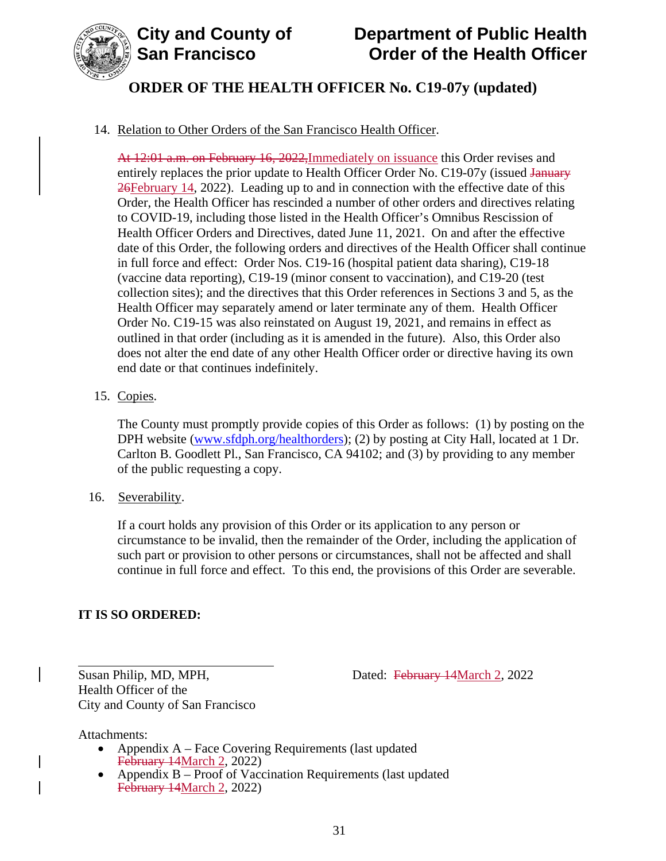

# **City and County of Department of Public Health Order of the Health Officer**

# **ORDER OF THE HEALTH OFFICER No. C19-07y (updated)**

## 14. Relation to Other Orders of the San Francisco Health Officer.

At 12:01 a.m. on February 16, 2022, Immediately on issuance this Order revises and entirely replaces the prior update to Health Officer Order No. C19-07y (issued January 26February 14, 2022). Leading up to and in connection with the effective date of this Order, the Health Officer has rescinded a number of other orders and directives relating to COVID-19, including those listed in the Health Officer's Omnibus Rescission of Health Officer Orders and Directives, dated June 11, 2021. On and after the effective date of this Order, the following orders and directives of the Health Officer shall continue in full force and effect: Order Nos. C19-16 (hospital patient data sharing), C19-18 (vaccine data reporting), C19-19 (minor consent to vaccination), and C19-20 (test collection sites); and the directives that this Order references in Sections 3 and 5, as the Health Officer may separately amend or later terminate any of them. Health Officer Order No. C19-15 was also reinstated on August 19, 2021, and remains in effect as outlined in that order (including as it is amended in the future). Also, this Order also does not alter the end date of any other Health Officer order or directive having its own end date or that continues indefinitely.

15. Copies.

The County must promptly provide copies of this Order as follows: (1) by posting on the DPH website [\(www.sfdph.org/healthorders\)](https://www.sfdph.org/healthorders); (2) by posting at City Hall, located at 1 Dr. Carlton B. Goodlett Pl., San Francisco, CA 94102; and (3) by providing to any member of the public requesting a copy.

16. Severability.

If a court holds any provision of this Order or its application to any person or circumstance to be invalid, then the remainder of the Order, including the application of such part or provision to other persons or circumstances, shall not be affected and shall continue in full force and effect. To this end, the provisions of this Order are severable.

## **IT IS SO ORDERED:**

Susan Philip, MD, MPH, Dated: February 14March 2, 2022

Health Officer of the City and County of San Francisco

Attachments:

- Appendix A Face Covering Requirements (last updated February 14March 2, 2022)
- Appendix B Proof of Vaccination Requirements (last updated February 14March 2, 2022)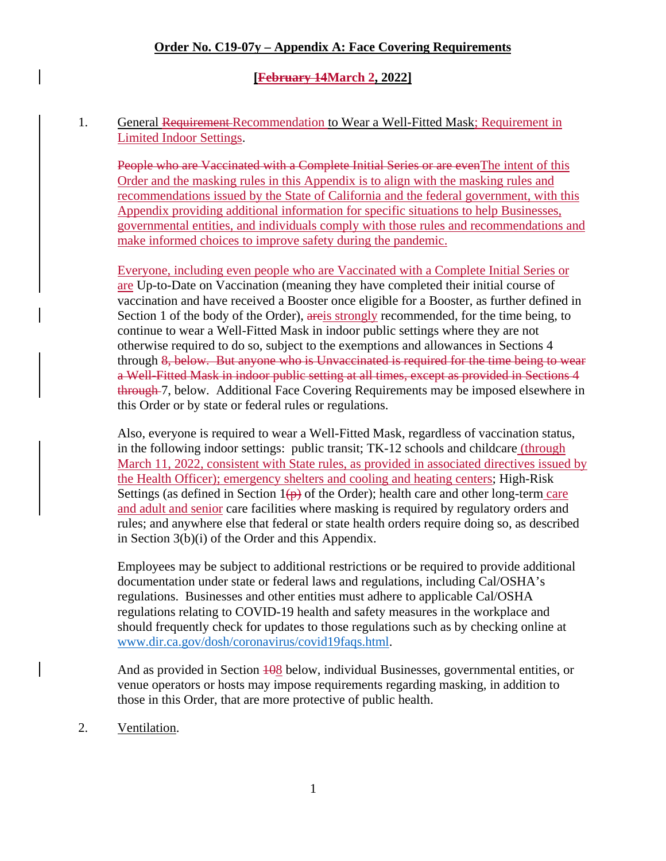#### **[February 14March 2, 2022]**

#### 1. General Requirement-Recommendation to Wear a Well-Fitted Mask; Requirement in Limited Indoor Settings.

People who are Vaccinated with a Complete Initial Series or are even The intent of this Order and the masking rules in this Appendix is to align with the masking rules and recommendations issued by the State of California and the federal government, with this Appendix providing additional information for specific situations to help Businesses, governmental entities, and individuals comply with those rules and recommendations and make informed choices to improve safety during the pandemic.

Everyone, including even people who are Vaccinated with a Complete Initial Series or are Up-to-Date on Vaccination (meaning they have completed their initial course of vaccination and have received a Booster once eligible for a Booster, as further defined in Section 1 of the body of the Order), areis strongly recommended, for the time being, to continue to wear a Well-Fitted Mask in indoor public settings where they are not otherwise required to do so, subject to the exemptions and allowances in Sections 4 through 8, below. But anyone who is Unvaccinated is required for the time being to wear a Well-Fitted Mask in indoor public setting at all times, except as provided in Sections 4 through 7, below. Additional Face Covering Requirements may be imposed elsewhere in this Order or by state or federal rules or regulations.

Also, everyone is required to wear a Well-Fitted Mask, regardless of vaccination status, in the following indoor settings: public transit; TK-12 schools and childcare (through March 11, 2022, consistent with State rules, as provided in associated directives issued by the Health Officer); emergency shelters and cooling and heating centers; High-Risk Settings (as defined in Section  $1(p)$  of the Order); health care and other long-term care and adult and senior care facilities where masking is required by regulatory orders and rules; and anywhere else that federal or state health orders require doing so, as described in Section 3(b)(i) of the Order and this Appendix.

Employees may be subject to additional restrictions or be required to provide additional documentation under state or federal laws and regulations, including Cal/OSHA's regulations. Businesses and other entities must adhere to applicable Cal/OSHA regulations relating to COVID-19 health and safety measures in the workplace and should frequently check for updates to those regulations such as by checking online at [www.dir.ca.gov/dosh/coronavirus/covid19faqs.html.](https://www.dir.ca.gov/dosh/coronavirus/covid19faqs.html)

And as provided in Section  $\frac{108}{100}$  below, individual Businesses, governmental entities, or venue operators or hosts may impose requirements regarding masking, in addition to those in this Order, that are more protective of public health.

2. Ventilation.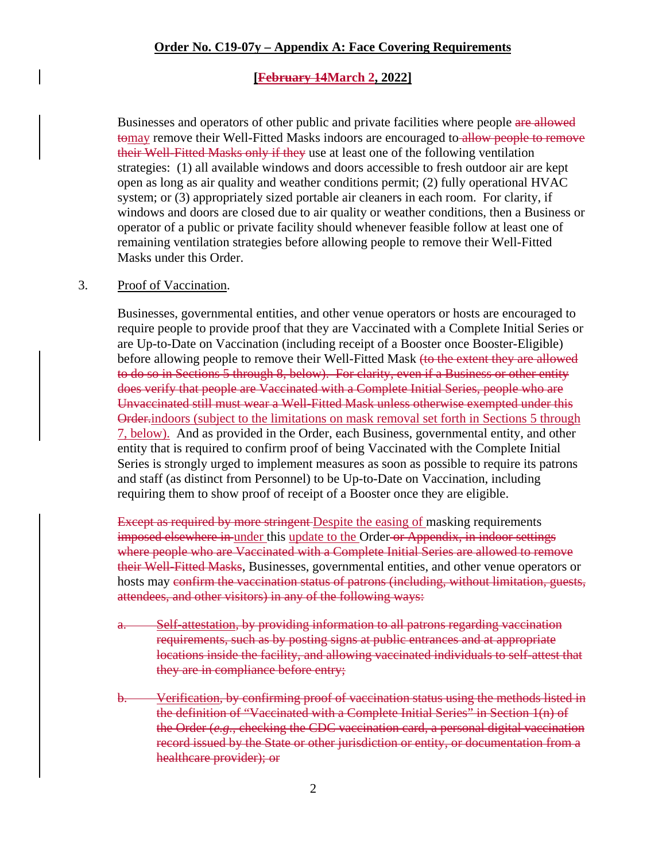#### **[February 14March 2, 2022]**

Businesses and operators of other public and private facilities where people are allowed tomay remove their Well-Fitted Masks indoors are encouraged to allow people to remove their Well-Fitted Masks only if they use at least one of the following ventilation strategies: (1) all available windows and doors accessible to fresh outdoor air are kept open as long as air quality and weather conditions permit; (2) fully operational HVAC system; or (3) appropriately sized portable air cleaners in each room. For clarity, if windows and doors are closed due to air quality or weather conditions, then a Business or operator of a public or private facility should whenever feasible follow at least one of remaining ventilation strategies before allowing people to remove their Well-Fitted Masks under this Order.

#### 3. Proof of Vaccination.

Businesses, governmental entities, and other venue operators or hosts are encouraged to require people to provide proof that they are Vaccinated with a Complete Initial Series or are Up-to-Date on Vaccination (including receipt of a Booster once Booster-Eligible) before allowing people to remove their Well-Fitted Mask (to the extent they are allowed to do so in Sections 5 through 8, below). For clarity, even if a Business or other entity does verify that people are Vaccinated with a Complete Initial Series, people who are Unvaccinated still must wear a Well-Fitted Mask unless otherwise exempted under this Order.indoors (subject to the limitations on mask removal set forth in Sections 5 through 7, below). And as provided in the Order, each Business, governmental entity, and other entity that is required to confirm proof of being Vaccinated with the Complete Initial Series is strongly urged to implement measures as soon as possible to require its patrons and staff (as distinct from Personnel) to be Up-to-Date on Vaccination, including requiring them to show proof of receipt of a Booster once they are eligible.

Except as required by more stringent Despite the easing of masking requirements imposed elsewhere in under this update to the Order or Appendix, in indoor settings where people who are Vaccinated with a Complete Initial Series are allowed to remove their Well-Fitted Masks, Businesses, governmental entities, and other venue operators or hosts may confirm the vaccination status of patrons (including, without limitation, guests, attendees, and other visitors) in any of the following ways:

- a. Self-attestation, by providing information to all patrons regarding vaccination requirements, such as by posting signs at public entrances and at appropriate locations inside the facility, and allowing vaccinated individuals to self-attest that they are in compliance before entry;
- b. Verification, by confirming proof of vaccination status using the methods listed in the definition of "Vaccinated with a Complete Initial Series" in Section 1(n) of the Order (*e.g.*, checking the CDC vaccination card, a personal digital vaccination record issued by the State or other jurisdiction or entity, or documentation from a healthcare provider); or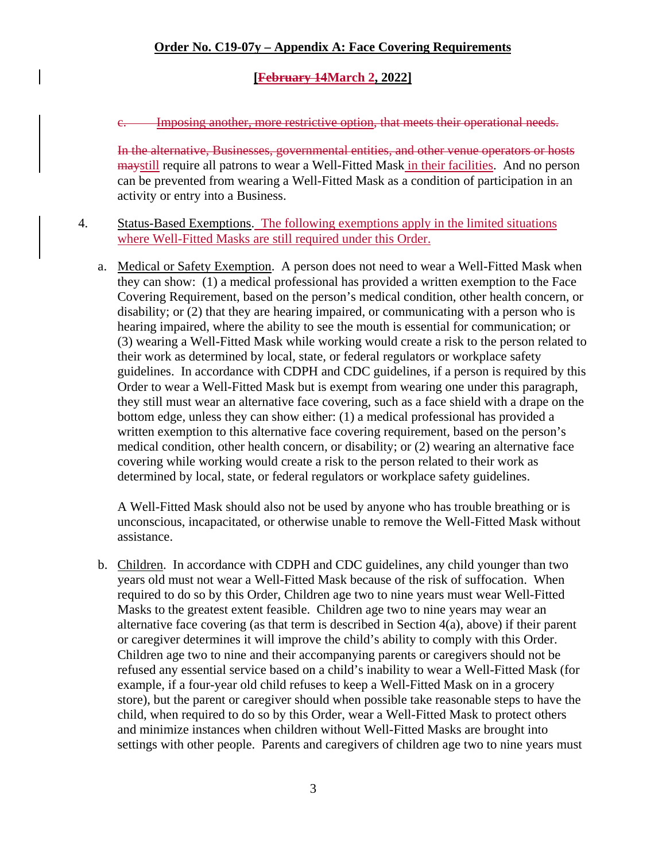## **[February 14March 2, 2022]**

c. Imposing another, more restrictive option, that meets their operational needs.

In the alternative, Businesses, governmental entities, and other venue operators or hosts maystill require all patrons to wear a Well-Fitted Mask in their facilities. And no person can be prevented from wearing a Well-Fitted Mask as a condition of participation in an activity or entry into a Business.

4. Status-Based Exemptions. The following exemptions apply in the limited situations where Well-Fitted Masks are still required under this Order.

a. Medical or Safety Exemption. A person does not need to wear a Well-Fitted Mask when they can show: (1) a medical professional has provided a written exemption to the Face Covering Requirement, based on the person's medical condition, other health concern, or disability; or (2) that they are hearing impaired, or communicating with a person who is hearing impaired, where the ability to see the mouth is essential for communication; or (3) wearing a Well-Fitted Mask while working would create a risk to the person related to their work as determined by local, state, or federal regulators or workplace safety guidelines. In accordance with CDPH and CDC guidelines, if a person is required by this Order to wear a Well-Fitted Mask but is exempt from wearing one under this paragraph, they still must wear an alternative face covering, such as a face shield with a drape on the bottom edge, unless they can show either: (1) a medical professional has provided a written exemption to this alternative face covering requirement, based on the person's medical condition, other health concern, or disability; or (2) wearing an alternative face covering while working would create a risk to the person related to their work as determined by local, state, or federal regulators or workplace safety guidelines.

A Well-Fitted Mask should also not be used by anyone who has trouble breathing or is unconscious, incapacitated, or otherwise unable to remove the Well-Fitted Mask without assistance.

b. Children. In accordance with CDPH and CDC guidelines, any child younger than two years old must not wear a Well-Fitted Mask because of the risk of suffocation. When required to do so by this Order, Children age two to nine years must wear Well-Fitted Masks to the greatest extent feasible. Children age two to nine years may wear an alternative face covering (as that term is described in Section 4(a), above) if their parent or caregiver determines it will improve the child's ability to comply with this Order. Children age two to nine and their accompanying parents or caregivers should not be refused any essential service based on a child's inability to wear a Well-Fitted Mask (for example, if a four-year old child refuses to keep a Well-Fitted Mask on in a grocery store), but the parent or caregiver should when possible take reasonable steps to have the child, when required to do so by this Order, wear a Well-Fitted Mask to protect others and minimize instances when children without Well-Fitted Masks are brought into settings with other people. Parents and caregivers of children age two to nine years must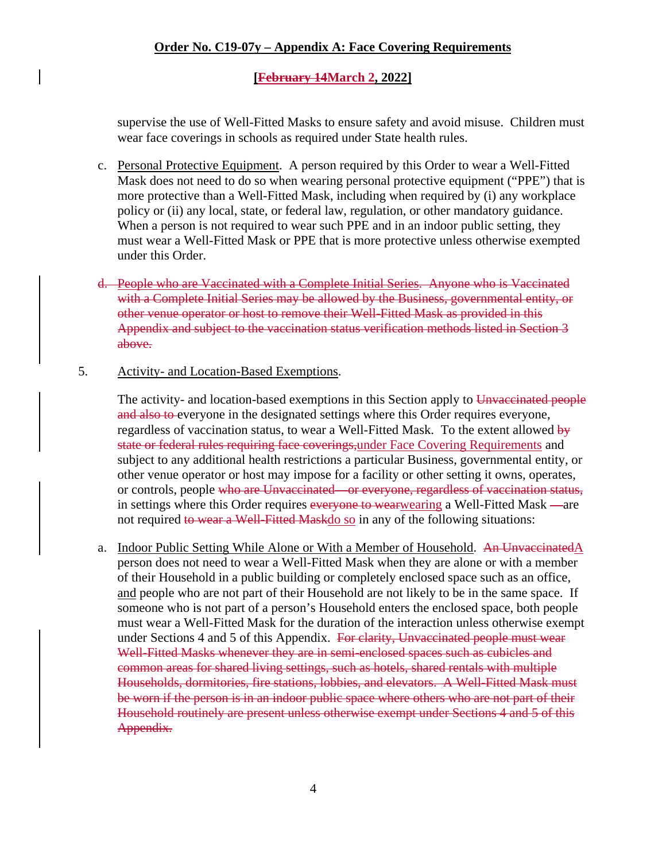#### **[February 14March 2, 2022]**

supervise the use of Well-Fitted Masks to ensure safety and avoid misuse. Children must wear face coverings in schools as required under State health rules.

- c. Personal Protective Equipment. A person required by this Order to wear a Well-Fitted Mask does not need to do so when wearing personal protective equipment ("PPE") that is more protective than a Well-Fitted Mask, including when required by (i) any workplace policy or (ii) any local, state, or federal law, regulation, or other mandatory guidance. When a person is not required to wear such PPE and in an indoor public setting, they must wear a Well-Fitted Mask or PPE that is more protective unless otherwise exempted under this Order.
- d. People who are Vaccinated with a Complete Initial Series. Anyone who is Vaccinated with a Complete Initial Series may be allowed by the Business, governmental entity, or other venue operator or host to remove their Well-Fitted Mask as provided in this Appendix and subject to the vaccination status verification methods listed in Section 3 above.
- 5. Activity- and Location-Based Exemptions.

The activity- and location-based exemptions in this Section apply to Unvaccinated people and also to everyone in the designated settings where this Order requires everyone, regardless of vaccination status, to wear a Well-Fitted Mask. To the extent allowed by state or federal rules requiring face coverings,under Face Covering Requirements and subject to any additional health restrictions a particular Business, governmental entity, or other venue operator or host may impose for a facility or other setting it owns, operates, or controls, people who are Unvaccinated—or everyone, regardless of vaccination status, in settings where this Order requires everyone to wearwearing a Well-Fitted Mask —are not required to wear a Well-Fitted Maskdo so in any of the following situations:

a. Indoor Public Setting While Alone or With a Member of Household. An Unvaccinated A person does not need to wear a Well-Fitted Mask when they are alone or with a member of their Household in a public building or completely enclosed space such as an office, and people who are not part of their Household are not likely to be in the same space. If someone who is not part of a person's Household enters the enclosed space, both people must wear a Well-Fitted Mask for the duration of the interaction unless otherwise exempt under Sections 4 and 5 of this Appendix. For clarity, Unvaccinated people must wear Well-Fitted Masks whenever they are in semi-enclosed spaces such as cubicles and common areas for shared living settings, such as hotels, shared rentals with multiple Households, dormitories, fire stations, lobbies, and elevators. A Well-Fitted Mask must be worn if the person is in an indoor public space where others who are not part of their Household routinely are present unless otherwise exempt under Sections 4 and 5 of this Appendix.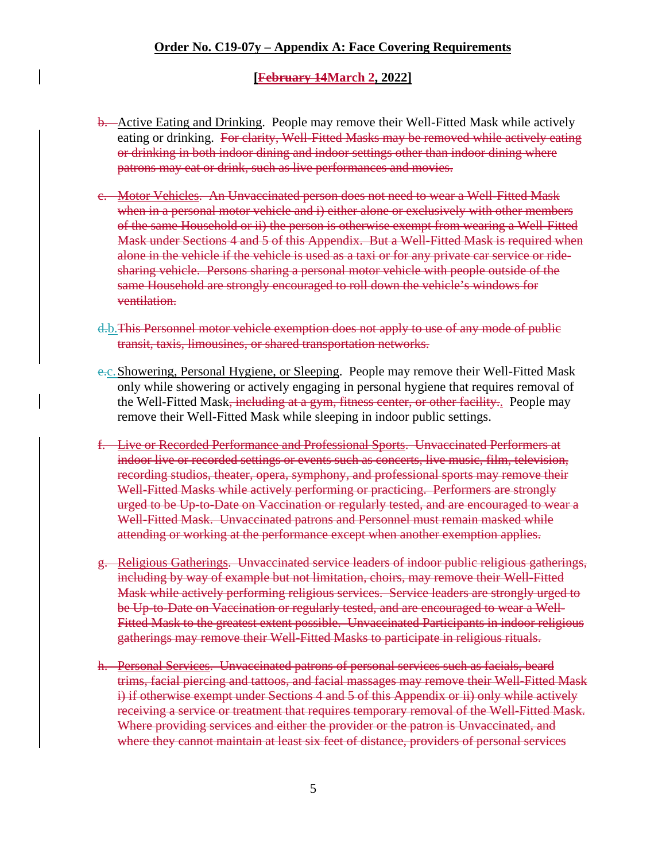#### **[February 14March 2, 2022]**

- b. Active Eating and Drinking. People may remove their Well-Fitted Mask while actively eating or drinking. For clarity, Well-Fitted Masks may be removed while actively eating or drinking in both indoor dining and indoor settings other than indoor dining where patrons may eat or drink, such as live performances and movies.
- c. Motor Vehicles. An Unvaccinated person does not need to wear a Well-Fitted Mask when in a personal motor vehicle and i) either alone or exclusively with other members of the same Household or ii) the person is otherwise exempt from wearing a Well-Fitted Mask under Sections 4 and 5 of this Appendix. But a Well-Fitted Mask is required when alone in the vehicle if the vehicle is used as a taxi or for any private car service or ridesharing vehicle. Persons sharing a personal motor vehicle with people outside of the same Household are strongly encouraged to roll down the vehicle's windows for ventilation.
- d.b.This Personnel motor vehicle exemption does not apply to use of any mode of public transit, taxis, limousines, or shared transportation networks.
- e.c.Showering, Personal Hygiene, or Sleeping. People may remove their Well-Fitted Mask only while showering or actively engaging in personal hygiene that requires removal of the Well-Fitted Mask<del>, including at a gym, fitness center, or other facility.</del> People may remove their Well-Fitted Mask while sleeping in indoor public settings.
- f. Live or Recorded Performance and Professional Sports. Unvaccinated Performers at indoor live or recorded settings or events such as concerts, live music, film, television, recording studios, theater, opera, symphony, and professional sports may remove their Well-Fitted Masks while actively performing or practicing. Performers are strongly urged to be Up-to-Date on Vaccination or regularly tested, and are encouraged to wear a Well-Fitted Mask. Unvaccinated patrons and Personnel must remain masked while attending or working at the performance except when another exemption applies.
- g. Religious Gatherings. Unvaccinated service leaders of indoor public religious gatherings, including by way of example but not limitation, choirs, may remove their Well-Fitted Mask while actively performing religious services. Service leaders are strongly urged to be Up-to-Date on Vaccination or regularly tested, and are encouraged to wear a Well-Fitted Mask to the greatest extent possible. Unvaccinated Participants in indoor religious gatherings may remove their Well-Fitted Masks to participate in religious rituals.
- h. Personal Services. Unvaccinated patrons of personal services such as facials, beard trims, facial piercing and tattoos, and facial massages may remove their Well-Fitted Mask i) if otherwise exempt under Sections 4 and 5 of this Appendix or ii) only while actively receiving a service or treatment that requires temporary removal of the Well-Fitted Mask. Where providing services and either the provider or the patron is Unvaccinated, and where they cannot maintain at least six feet of distance, providers of personal services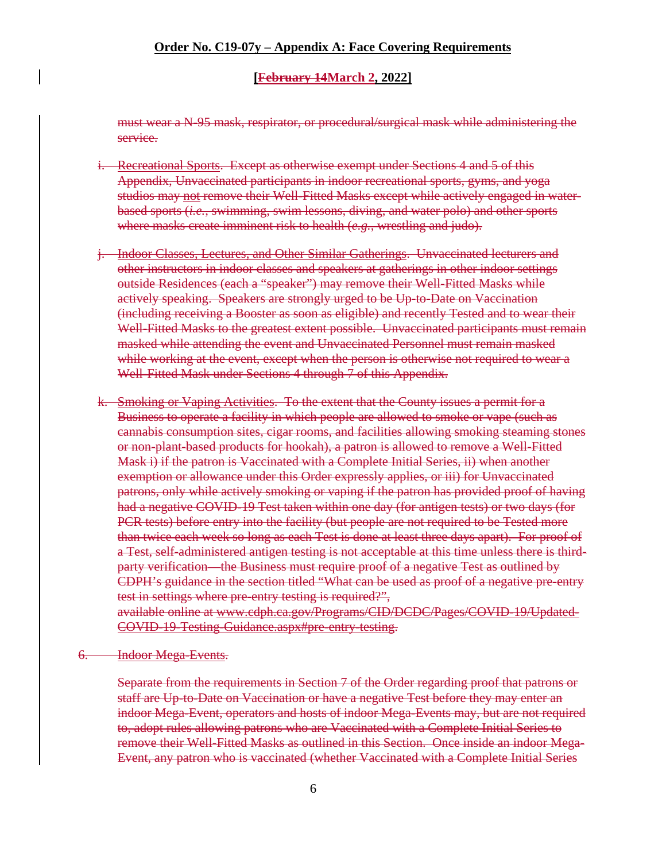#### **[February 14March 2, 2022]**

must wear a N-95 mask, respirator, or procedural/surgical mask while administering the service.

- i. Recreational Sports. Except as otherwise exempt under Sections 4 and 5 of this Appendix, Unvaccinated participants in indoor recreational sports, gyms, and yoga studios may not remove their Well-Fitted Masks except while actively engaged in waterbased sports (*i.e.*, swimming, swim lessons, diving, and water polo) and other sports where masks create imminent risk to health (*e.g.*, wrestling and judo).
- j. Indoor Classes, Lectures, and Other Similar Gatherings. Unvaccinated lecturers and other instructors in indoor classes and speakers at gatherings in other indoor settings outside Residences (each a "speaker") may remove their Well-Fitted Masks while actively speaking. Speakers are strongly urged to be Up-to-Date on Vaccination (including receiving a Booster as soon as eligible) and recently Tested and to wear their Well-Fitted Masks to the greatest extent possible. Unvaccinated participants must remain masked while attending the event and Unvaccinated Personnel must remain masked while working at the event, except when the person is otherwise not required to wear a Well-Fitted Mask under Sections 4 through 7 of this Appendix.
- k. Smoking or Vaping Activities. To the extent that the County issues a permit for a Business to operate a facility in which people are allowed to smoke or vape (such as cannabis consumption sites, cigar rooms, and facilities allowing smoking steaming stones or non-plant-based products for hookah), a patron is allowed to remove a Well-Fitted Mask i) if the patron is Vaccinated with a Complete Initial Series, ii) when another exemption or allowance under this Order expressly applies, or iii) for Unvaccinated patrons, only while actively smoking or vaping if the patron has provided proof of having had a negative COVID-19 Test taken within one day (for antigen tests) or two days (for PCR tests) before entry into the facility (but people are not required to be Tested more than twice each week so long as each Test is done at least three days apart). For proof of a Test, self-administered antigen testing is not acceptable at this time unless there is thirdparty verification—the Business must require proof of a negative Test as outlined by CDPH's guidance in the section titled "What can be used as proof of a negative pre-entry test in settings where pre-entry testing is required?", available online at www.cdph.ca.gov/Programs/CID/DCDC/Pages/COVID-19/Updated-COVID-19-Testing-Guidance.aspx#pre-entry-testing.

#### 6. Indoor Mega-Events.

Separate from the requirements in Section 7 of the Order regarding proof that patrons or staff are Up-to-Date on Vaccination or have a negative Test before they may enter an indoor Mega-Event, operators and hosts of indoor Mega-Events may, but are not required to, adopt rules allowing patrons who are Vaccinated with a Complete Initial Series to remove their Well-Fitted Masks as outlined in this Section. Once inside an indoor Mega-Event, any patron who is vaccinated (whether Vaccinated with a Complete Initial Series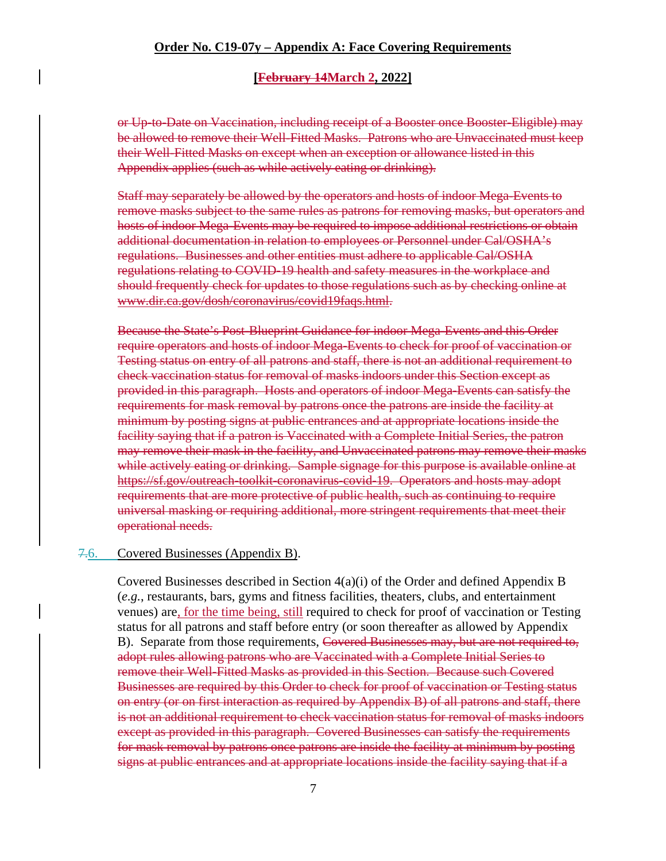#### **[February 14March 2, 2022]**

or Up-to-Date on Vaccination, including receipt of a Booster once Booster-Eligible) may be allowed to remove their Well-Fitted Masks. Patrons who are Unvaccinated must keep their Well-Fitted Masks on except when an exception or allowance listed in this Appendix applies (such as while actively eating or drinking).

Staff may separately be allowed by the operators and hosts of indoor Mega-Events to remove masks subject to the same rules as patrons for removing masks, but operators and hosts of indoor Mega-Events may be required to impose additional restrictions or obtain additional documentation in relation to employees or Personnel under Cal/OSHA's regulations. Businesses and other entities must adhere to applicable Cal/OSHA regulations relating to COVID-19 health and safety measures in the workplace and should frequently check for updates to those regulations such as by checking online at www.dir.ca.gov/dosh/coronavirus/covid19faqs.html.

Because the State's Post-Blueprint Guidance for indoor Mega-Events and this Order require operators and hosts of indoor Mega-Events to check for proof of vaccination or Testing status on entry of all patrons and staff, there is not an additional requirement to check vaccination status for removal of masks indoors under this Section except as provided in this paragraph. Hosts and operators of indoor Mega-Events can satisfy the requirements for mask removal by patrons once the patrons are inside the facility at minimum by posting signs at public entrances and at appropriate locations inside the facility saying that if a patron is Vaccinated with a Complete Initial Series, the patron may remove their mask in the facility, and Unvaccinated patrons may remove their masks while actively eating or drinking. Sample signage for this purpose is available online at https://sf.gov/outreach-toolkit-coronavirus-covid-19. Operators and hosts may adopt requirements that are more protective of public health, such as continuing to require universal masking or requiring additional, more stringent requirements that meet their operational needs.

#### 7.6. Covered Businesses (Appendix B).

Covered Businesses described in Section 4(a)(i) of the Order and defined Appendix B (*e.g.*, restaurants, bars, gyms and fitness facilities, theaters, clubs, and entertainment venues) are, for the time being, still required to check for proof of vaccination or Testing status for all patrons and staff before entry (or soon thereafter as allowed by Appendix B). Separate from those requirements, Covered Businesses may, but are not required to, adopt rules allowing patrons who are Vaccinated with a Complete Initial Series to remove their Well-Fitted Masks as provided in this Section. Because such Covered Businesses are required by this Order to check for proof of vaccination or Testing status on entry (or on first interaction as required by Appendix B) of all patrons and staff, there is not an additional requirement to check vaccination status for removal of masks indoors except as provided in this paragraph. Covered Businesses can satisfy the requirements for mask removal by patrons once patrons are inside the facility at minimum by posting signs at public entrances and at appropriate locations inside the facility saying that if a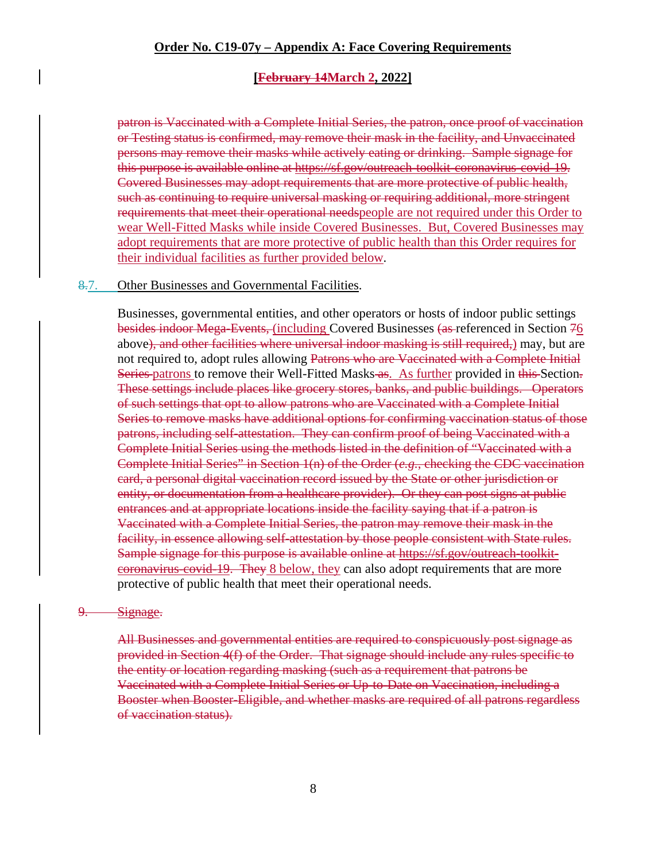#### **[February 14March 2, 2022]**

patron is Vaccinated with a Complete Initial Series, the patron, once proof of vaccination or Testing status is confirmed, may remove their mask in the facility, and Unvaccinated persons may remove their masks while actively eating or drinking. Sample signage for this purpose is available online at https://sf.gov/outreach-toolkit-coronavirus-covid-19. Covered Businesses may adopt requirements that are more protective of public health, such as continuing to require universal masking or requiring additional, more stringent requirements that meet their operational needspeople are not required under this Order to wear Well-Fitted Masks while inside Covered Businesses. But, Covered Businesses may adopt requirements that are more protective of public health than this Order requires for their individual facilities as further provided below.

#### 8.7. Other Businesses and Governmental Facilities.

Businesses, governmental entities, and other operators or hosts of indoor public settings besides indoor Mega-Events, (including Covered Businesses (as referenced in Section 76 above), and other facilities where universal indoor masking is still required,) may, but are not required to, adopt rules allowing Patrons who are Vaccinated with a Complete Initial Series-patrons to remove their Well-Fitted Masks-as. As further provided in this-Section. These settings include places like grocery stores, banks, and public buildings. Operators of such settings that opt to allow patrons who are Vaccinated with a Complete Initial Series to remove masks have additional options for confirming vaccination status of those patrons, including self-attestation. They can confirm proof of being Vaccinated with a Complete Initial Series using the methods listed in the definition of "Vaccinated with a Complete Initial Series" in Section 1(n) of the Order (*e.g.*, checking the CDC vaccination card, a personal digital vaccination record issued by the State or other jurisdiction or entity, or documentation from a healthcare provider). Or they can post signs at public entrances and at appropriate locations inside the facility saying that if a patron is Vaccinated with a Complete Initial Series, the patron may remove their mask in the facility, in essence allowing self-attestation by those people consistent with State rules. Sample signage for this purpose is available online at https://sf.gov/outreach-toolkitcoronavirus-covid-19. They 8 below, they can also adopt requirements that are more protective of public health that meet their operational needs.

#### 9. Signage.

All Businesses and governmental entities are required to conspicuously post signage as provided in Section 4(f) of the Order. That signage should include any rules specific to the entity or location regarding masking (such as a requirement that patrons be Vaccinated with a Complete Initial Series or Up-to-Date on Vaccination, including a Booster when Booster-Eligible, and whether masks are required of all patrons regardless of vaccination status).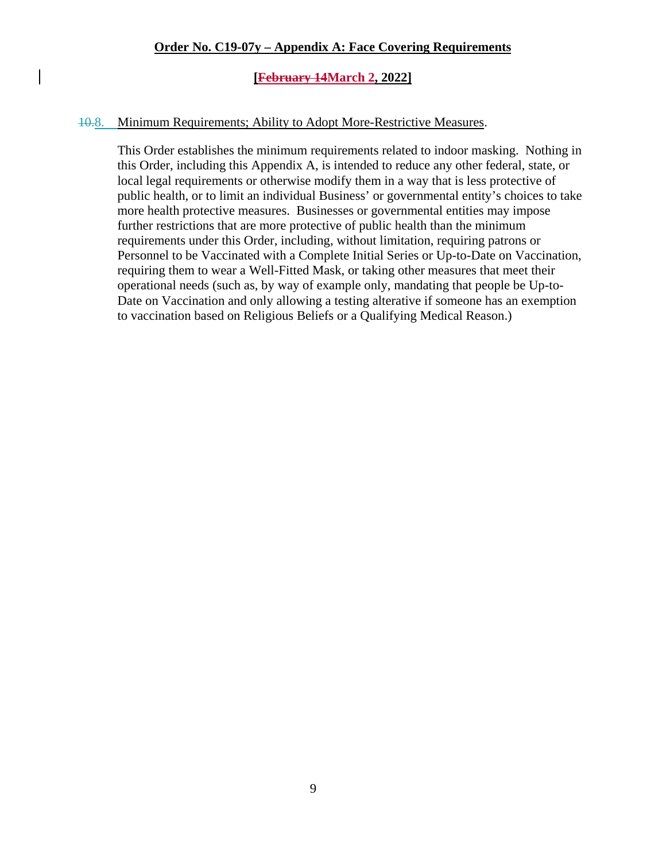#### **[February 14March 2, 2022]**

#### 10.8. Minimum Requirements; Ability to Adopt More-Restrictive Measures.

This Order establishes the minimum requirements related to indoor masking. Nothing in this Order, including this Appendix A, is intended to reduce any other federal, state, or local legal requirements or otherwise modify them in a way that is less protective of public health, or to limit an individual Business' or governmental entity's choices to take more health protective measures. Businesses or governmental entities may impose further restrictions that are more protective of public health than the minimum requirements under this Order, including, without limitation, requiring patrons or Personnel to be Vaccinated with a Complete Initial Series or Up-to-Date on Vaccination, requiring them to wear a Well-Fitted Mask, or taking other measures that meet their operational needs (such as, by way of example only, mandating that people be Up-to-Date on Vaccination and only allowing a testing alterative if someone has an exemption to vaccination based on Religious Beliefs or a Qualifying Medical Reason.)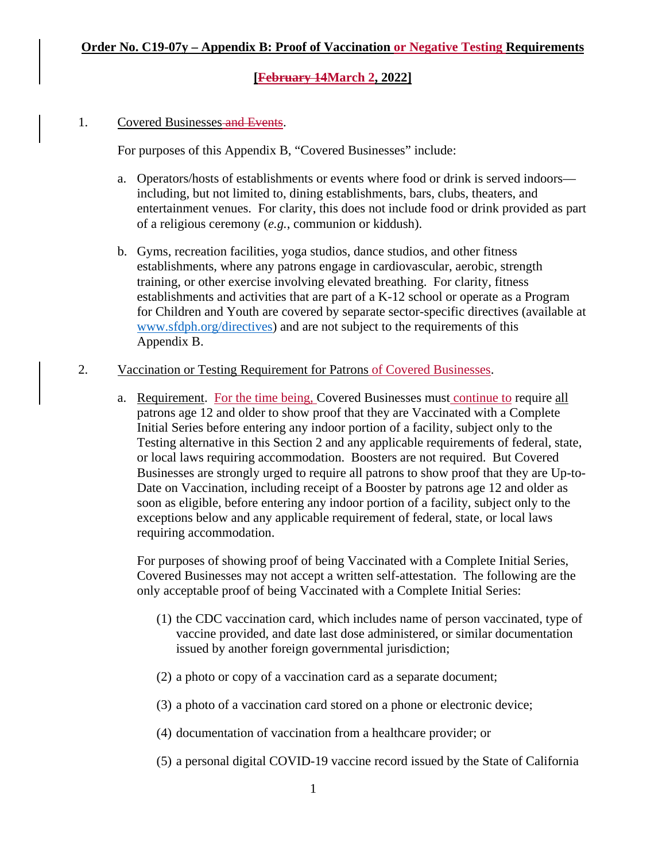#### 1. Covered Businesses and Events.

For purposes of this Appendix B, "Covered Businesses" include:

- a. Operators/hosts of establishments or events where food or drink is served indoors including, but not limited to, dining establishments, bars, clubs, theaters, and entertainment venues. For clarity, this does not include food or drink provided as part of a religious ceremony (*e.g.*, communion or kiddush).
- b. Gyms, recreation facilities, yoga studios, dance studios, and other fitness establishments, where any patrons engage in cardiovascular, aerobic, strength training, or other exercise involving elevated breathing. For clarity, fitness establishments and activities that are part of a K-12 school or operate as a Program for Children and Youth are covered by separate sector-specific directives (available at [www.sfdph.org/directives\)](https://www.sfdph.org/directives) and are not subject to the requirements of this Appendix B.
- 2. Vaccination or Testing Requirement for Patrons of Covered Businesses.
	- a. Requirement. For the time being, Covered Businesses must continue to require all patrons age 12 and older to show proof that they are Vaccinated with a Complete Initial Series before entering any indoor portion of a facility, subject only to the Testing alternative in this Section 2 and any applicable requirements of federal, state, or local laws requiring accommodation. Boosters are not required. But Covered Businesses are strongly urged to require all patrons to show proof that they are Up-to-Date on Vaccination, including receipt of a Booster by patrons age 12 and older as soon as eligible, before entering any indoor portion of a facility, subject only to the exceptions below and any applicable requirement of federal, state, or local laws requiring accommodation.

For purposes of showing proof of being Vaccinated with a Complete Initial Series, Covered Businesses may not accept a written self-attestation. The following are the only acceptable proof of being Vaccinated with a Complete Initial Series:

- (1) the CDC vaccination card, which includes name of person vaccinated, type of vaccine provided, and date last dose administered, or similar documentation issued by another foreign governmental jurisdiction;
- (2) a photo or copy of a vaccination card as a separate document;
- (3) a photo of a vaccination card stored on a phone or electronic device;
- (4) documentation of vaccination from a healthcare provider; or
- (5) a personal digital COVID-19 vaccine record issued by the State of California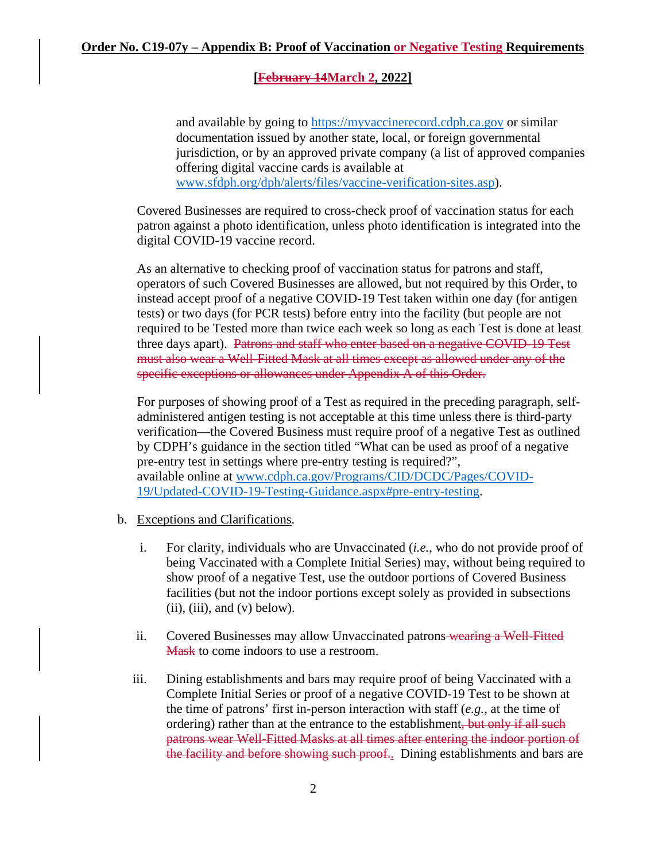and available by going to [https://myvaccinerecord.cdph.ca.gov](https://myvaccinerecord.cdph.ca.gov/) or similar documentation issued by another state, local, or foreign governmental jurisdiction, or by an approved private company (a list of approved companies offering digital vaccine cards is available at [www.sfdph.org/dph/alerts/files/vaccine-verification-sites.asp\)](https://www.sfdph.org/dph/alerts/files/vaccine-verification-sites.asp).

Covered Businesses are required to cross-check proof of vaccination status for each patron against a photo identification, unless photo identification is integrated into the digital COVID-19 vaccine record.

As an alternative to checking proof of vaccination status for patrons and staff, operators of such Covered Businesses are allowed, but not required by this Order, to instead accept proof of a negative COVID-19 Test taken within one day (for antigen tests) or two days (for PCR tests) before entry into the facility (but people are not required to be Tested more than twice each week so long as each Test is done at least three days apart). Patrons and staff who enter based on a negative COVID-19 Test must also wear a Well-Fitted Mask at all times except as allowed under any of the specific exceptions or allowances under Appendix A of this Order.

For purposes of showing proof of a Test as required in the preceding paragraph, selfadministered antigen testing is not acceptable at this time unless there is third-party verification—the Covered Business must require proof of a negative Test as outlined by CDPH's guidance in the section titled "What can be used as proof of a negative pre-entry test in settings where pre-entry testing is required?", available online at [www.cdph.ca.gov/Programs/CID/DCDC/Pages/COVID-](https://www.cdph.ca.gov/Programs/CID/DCDC/Pages/COVID-19/Updated-COVID-19-Testing-Guidance.aspx#pre-entry-testing)[19/Updated-COVID-19-Testing-Guidance.aspx#pre-entry-testing.](https://www.cdph.ca.gov/Programs/CID/DCDC/Pages/COVID-19/Updated-COVID-19-Testing-Guidance.aspx#pre-entry-testing)

- b. Exceptions and Clarifications.
	- i. For clarity, individuals who are Unvaccinated (*i.e.*, who do not provide proof of being Vaccinated with a Complete Initial Series) may, without being required to show proof of a negative Test, use the outdoor portions of Covered Business facilities (but not the indoor portions except solely as provided in subsections  $(ii)$ ,  $(iii)$ , and  $(v)$  below).
	- ii. Covered Businesses may allow Unvaccinated patrons wearing a Well-Fitted Mask to come indoors to use a restroom.
	- iii. Dining establishments and bars may require proof of being Vaccinated with a Complete Initial Series or proof of a negative COVID-19 Test to be shown at the time of patrons' first in-person interaction with staff (*e.g.*, at the time of ordering) rather than at the entrance to the establishment, but only if all such patrons wear Well-Fitted Masks at all times after entering the indoor portion of the facility and before showing such proof.. Dining establishments and bars are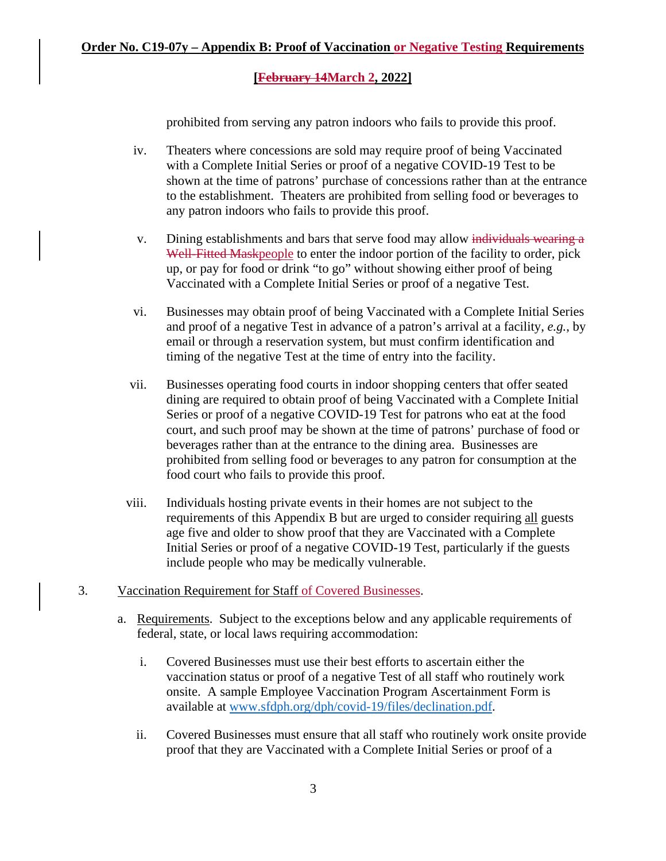prohibited from serving any patron indoors who fails to provide this proof.

- iv. Theaters where concessions are sold may require proof of being Vaccinated with a Complete Initial Series or proof of a negative COVID-19 Test to be shown at the time of patrons' purchase of concessions rather than at the entrance to the establishment. Theaters are prohibited from selling food or beverages to any patron indoors who fails to provide this proof.
- v. Dining establishments and bars that serve food may allow individuals wearing a Well-Fitted Maskpeople to enter the indoor portion of the facility to order, pick up, or pay for food or drink "to go" without showing either proof of being Vaccinated with a Complete Initial Series or proof of a negative Test.
- vi. Businesses may obtain proof of being Vaccinated with a Complete Initial Series and proof of a negative Test in advance of a patron's arrival at a facility, *e.g.*, by email or through a reservation system, but must confirm identification and timing of the negative Test at the time of entry into the facility.
- vii. Businesses operating food courts in indoor shopping centers that offer seated dining are required to obtain proof of being Vaccinated with a Complete Initial Series or proof of a negative COVID-19 Test for patrons who eat at the food court, and such proof may be shown at the time of patrons' purchase of food or beverages rather than at the entrance to the dining area. Businesses are prohibited from selling food or beverages to any patron for consumption at the food court who fails to provide this proof.
- viii. Individuals hosting private events in their homes are not subject to the requirements of this Appendix B but are urged to consider requiring all guests age five and older to show proof that they are Vaccinated with a Complete Initial Series or proof of a negative COVID-19 Test, particularly if the guests include people who may be medically vulnerable.
- 3. Vaccination Requirement for Staff of Covered Businesses.
	- a. Requirements. Subject to the exceptions below and any applicable requirements of federal, state, or local laws requiring accommodation:
		- i. Covered Businesses must use their best efforts to ascertain either the vaccination status or proof of a negative Test of all staff who routinely work onsite. A sample Employee Vaccination Program Ascertainment Form is available at [www.sfdph.org/dph/covid-19/files/declination.pdf.](https://www.sfdph.org/dph/covid-19/files/declination.pdf)
		- ii. Covered Businesses must ensure that all staff who routinely work onsite provide proof that they are Vaccinated with a Complete Initial Series or proof of a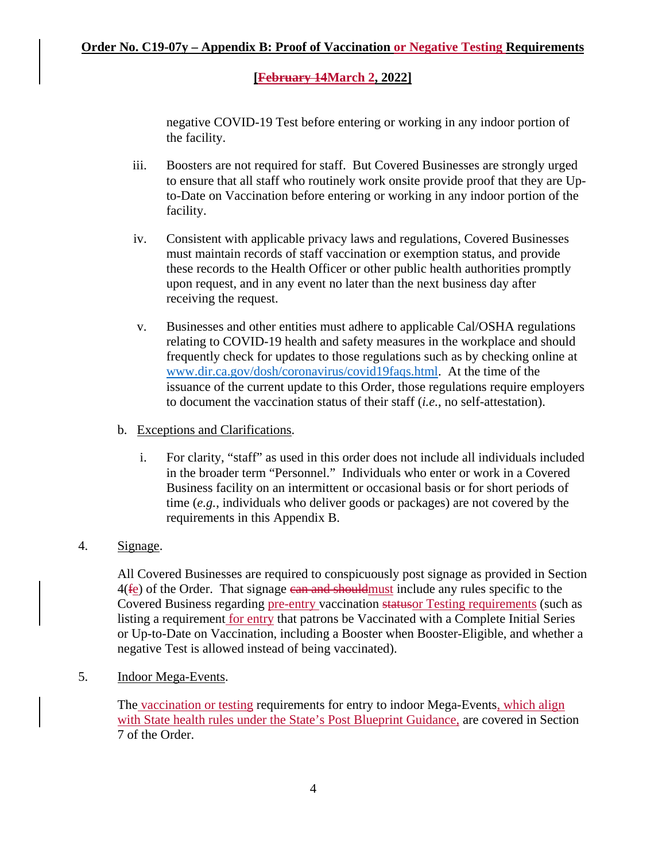negative COVID-19 Test before entering or working in any indoor portion of the facility.

- iii. Boosters are not required for staff. But Covered Businesses are strongly urged to ensure that all staff who routinely work onsite provide proof that they are Upto-Date on Vaccination before entering or working in any indoor portion of the facility.
- iv. Consistent with applicable privacy laws and regulations, Covered Businesses must maintain records of staff vaccination or exemption status, and provide these records to the Health Officer or other public health authorities promptly upon request, and in any event no later than the next business day after receiving the request.
- v. Businesses and other entities must adhere to applicable Cal/OSHA regulations relating to COVID-19 health and safety measures in the workplace and should frequently check for updates to those regulations such as by checking online at [www.dir.ca.gov/dosh/coronavirus/covid19faqs.html.](https://www.dir.ca.gov/dosh/coronavirus/covid19faqs.html) At the time of the issuance of the current update to this Order, those regulations require employers to document the vaccination status of their staff (*i.e.*, no self-attestation).

### b. Exceptions and Clarifications.

i. For clarity, "staff" as used in this order does not include all individuals included in the broader term "Personnel." Individuals who enter or work in a Covered Business facility on an intermittent or occasional basis or for short periods of time (*e.g.*, individuals who deliver goods or packages) are not covered by the requirements in this Appendix B.

## 4. Signage.

All Covered Businesses are required to conspicuously post signage as provided in Section 4(fe) of the Order. That signage can and should must include any rules specific to the Covered Business regarding pre-entry vaccination statusor Testing requirements (such as listing a requirement for entry that patrons be Vaccinated with a Complete Initial Series or Up-to-Date on Vaccination, including a Booster when Booster-Eligible, and whether a negative Test is allowed instead of being vaccinated).

5. Indoor Mega-Events.

The vaccination or testing requirements for entry to indoor Mega-Events, which align with State health rules under the State's Post Blueprint Guidance, are covered in Section 7 of the Order.